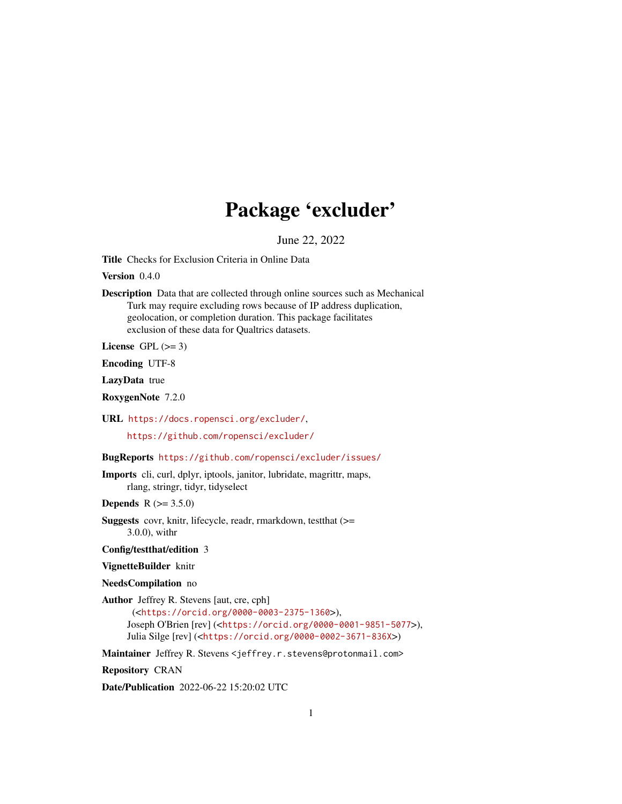# Package 'excluder'

June 22, 2022

<span id="page-0-0"></span>Title Checks for Exclusion Criteria in Online Data

Version 0.4.0

Description Data that are collected through online sources such as Mechanical Turk may require excluding rows because of IP address duplication, geolocation, or completion duration. This package facilitates exclusion of these data for Qualtrics datasets.

License GPL  $(>= 3)$ 

Encoding UTF-8

LazyData true

RoxygenNote 7.2.0

URL <https://docs.ropensci.org/excluder/>,

<https://github.com/ropensci/excluder/>

BugReports <https://github.com/ropensci/excluder/issues/>

Imports cli, curl, dplyr, iptools, janitor, lubridate, magrittr, maps, rlang, stringr, tidyr, tidyselect

**Depends**  $R (= 3.5.0)$ 

Suggests covr, knitr, lifecycle, readr, rmarkdown, testthat (>= 3.0.0), withr

Config/testthat/edition 3

VignetteBuilder knitr

NeedsCompilation no

Author Jeffrey R. Stevens [aut, cre, cph]

(<<https://orcid.org/0000-0003-2375-1360>>), Joseph O'Brien [rev] (<<https://orcid.org/0000-0001-9851-5077>>), Julia Silge [rev] (<<https://orcid.org/0000-0002-3671-836X>>)

Maintainer Jeffrey R. Stevens <jeffrey.r.stevens@protonmail.com>

Repository CRAN

Date/Publication 2022-06-22 15:20:02 UTC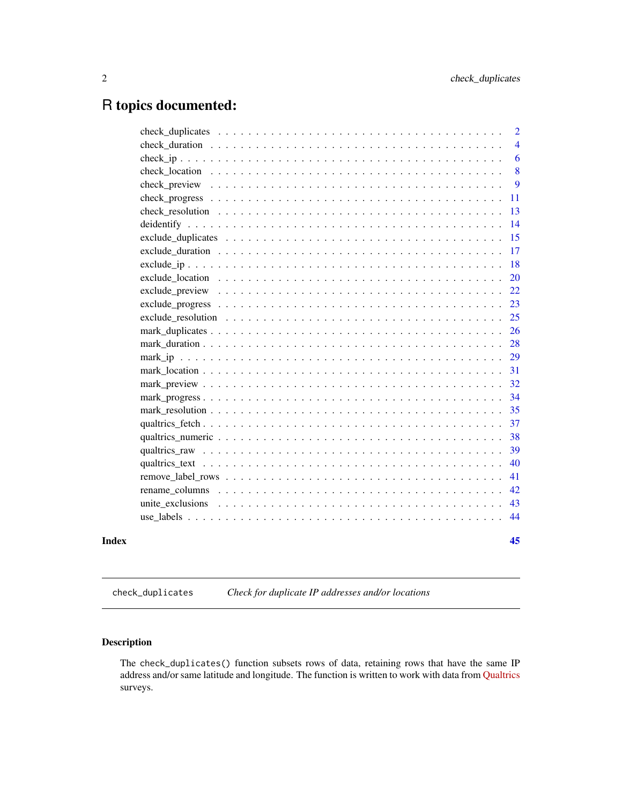# <span id="page-1-0"></span>R topics documented:

|       |                                                                                                        | $\overline{2}$ |
|-------|--------------------------------------------------------------------------------------------------------|----------------|
|       |                                                                                                        | $\overline{4}$ |
|       |                                                                                                        | 6              |
|       |                                                                                                        | 8              |
|       |                                                                                                        | 9              |
|       |                                                                                                        | 11             |
|       |                                                                                                        | 13             |
|       |                                                                                                        | 14             |
|       |                                                                                                        | 15             |
|       |                                                                                                        | 17             |
|       |                                                                                                        | 18             |
|       | exclude location $\ldots \ldots \ldots \ldots \ldots \ldots \ldots \ldots \ldots \ldots \ldots \ldots$ | 20             |
|       |                                                                                                        | 22             |
|       |                                                                                                        | 23             |
|       |                                                                                                        | 25             |
|       |                                                                                                        | 26             |
|       |                                                                                                        | 28             |
|       |                                                                                                        | 29             |
|       |                                                                                                        | 31             |
|       |                                                                                                        | 32             |
|       |                                                                                                        | 34             |
|       |                                                                                                        | 35             |
|       |                                                                                                        | 37             |
|       |                                                                                                        | 38             |
|       |                                                                                                        | 39             |
|       |                                                                                                        | 40             |
|       |                                                                                                        | 41             |
|       |                                                                                                        | 42             |
|       |                                                                                                        | 43             |
|       |                                                                                                        | 44             |
| Index |                                                                                                        | 45             |

<span id="page-1-1"></span>check\_duplicates *Check for duplicate IP addresses and/or locations*

# Description

The check\_duplicates() function subsets rows of data, retaining rows that have the same IP address and/or same latitude and longitude. The function is written to work with data from [Qualtrics](https://www.qualtrics.com/) surveys.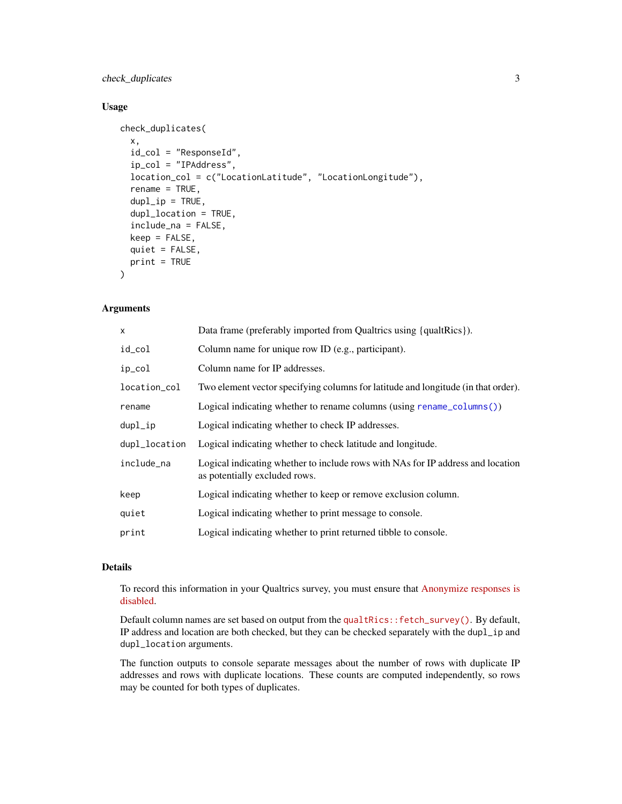# <span id="page-2-0"></span>check\_duplicates 3

# Usage

```
check_duplicates(
  x,
  id_col = "ResponseId",
  ip_col = "IPAddress",
  location_col = c("LocationLatitude", "LocationLongitude"),
  rename = TRUE,
  dupl<sub>_ip</sub> = TRUE,
  dupl_location = TRUE,
  include_na = FALSE,
  keep = FALSE,
  quiet = FALSE,
  print = TRUE
\mathcal{L}
```
# Arguments

| x             | Data frame (preferably imported from Qualtrics using {qualtrics}).                                               |
|---------------|------------------------------------------------------------------------------------------------------------------|
| id_col        | Column name for unique row ID (e.g., participant).                                                               |
| ip_col        | Column name for IP addresses.                                                                                    |
| location_col  | Two element vector specifying columns for latitude and longitude (in that order).                                |
| rename        | Logical indicating whether to rename columns (using rename_columns())                                            |
| dupl_ip       | Logical indicating whether to check IP addresses.                                                                |
| dupl_location | Logical indicating whether to check latitude and longitude.                                                      |
| include_na    | Logical indicating whether to include rows with NAs for IP address and location<br>as potentially excluded rows. |
| keep          | Logical indicating whether to keep or remove exclusion column.                                                   |
| quiet         | Logical indicating whether to print message to console.                                                          |
| print         | Logical indicating whether to print returned tibble to console.                                                  |

#### Details

To record this information in your Qualtrics survey, you must ensure that [Anonymize responses is](https://www.qualtrics.com/support/survey-platform/survey-module/survey-options/survey-protection/#AnonymizingResponses) [disabled.](https://www.qualtrics.com/support/survey-platform/survey-module/survey-options/survey-protection/#AnonymizingResponses)

Default column names are set based on output from the [qualtRics::fetch\\_survey\(\)](https://docs.ropensci.org/qualtRics/reference/fetch_survey.html). By default, IP address and location are both checked, but they can be checked separately with the dupl\_ip and dupl\_location arguments.

The function outputs to console separate messages about the number of rows with duplicate IP addresses and rows with duplicate locations. These counts are computed independently, so rows may be counted for both types of duplicates.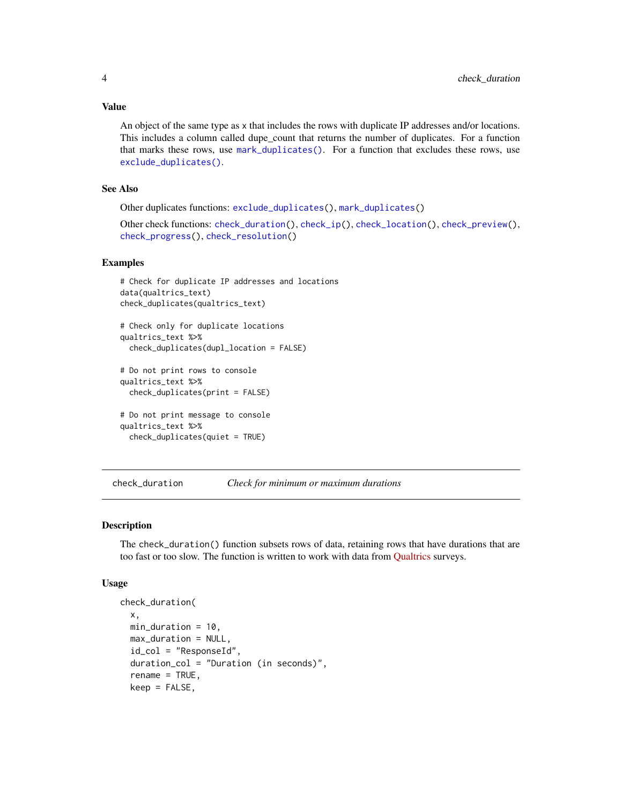#### <span id="page-3-0"></span>Value

An object of the same type as x that includes the rows with duplicate IP addresses and/or locations. This includes a column called dupe\_count that returns the number of duplicates. For a function that marks these rows, use [mark\\_duplicates\(\)](#page-25-1). For a function that excludes these rows, use [exclude\\_duplicates\(\)](#page-14-1).

#### See Also

Other duplicates functions: [exclude\\_duplicates\(](#page-14-1)), [mark\\_duplicates\(](#page-25-1))

```
Other check functions: check_duration(), check_ip(), check_location(), check_preview(),
check_progress(), check_resolution()
```
#### Examples

```
# Check for duplicate IP addresses and locations
data(qualtrics_text)
check_duplicates(qualtrics_text)
# Check only for duplicate locations
qualtrics_text %>%
 check_duplicates(dupl_location = FALSE)
# Do not print rows to console
qualtrics_text %>%
 check_duplicates(print = FALSE)
# Do not print message to console
qualtrics_text %>%
 check_duplicates(quiet = TRUE)
```
<span id="page-3-1"></span>check\_duration *Check for minimum or maximum durations*

#### **Description**

The check\_duration() function subsets rows of data, retaining rows that have durations that are too fast or too slow. The function is written to work with data from [Qualtrics](https://www.qualtrics.com/) surveys.

#### Usage

```
check_duration(
  x,
 min\_duration = 10,
 max_duration = NULL,
  id_{col} = "ResponseId",
  duration_col = "Duration (in seconds)",
  rename = TRUE,
  keep = FALSE,
```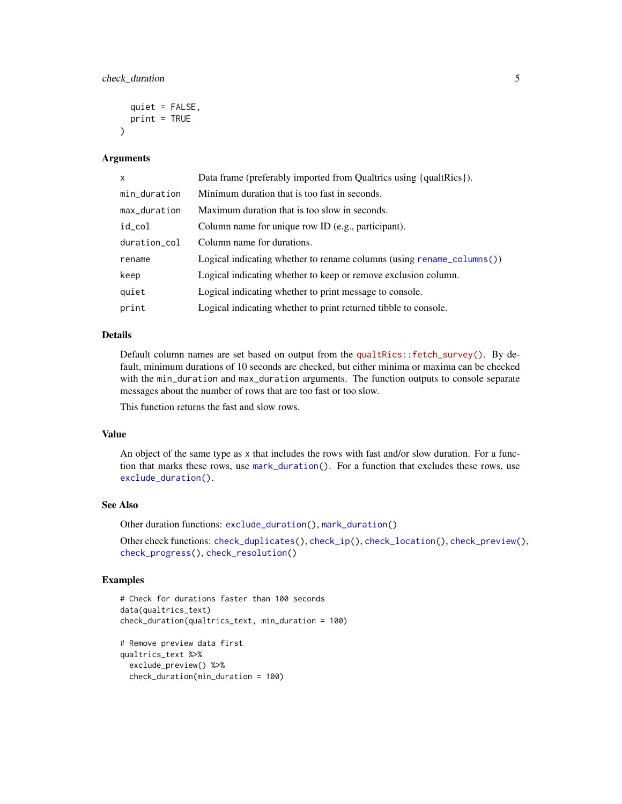```
quiet = FALSE,
 print = TRUE\lambda
```
#### Arguments

| x            | Data frame (preferably imported from Qualtrics using {qualtRics}).            |
|--------------|-------------------------------------------------------------------------------|
| min_duration | Minimum duration that is too fast in seconds.                                 |
| max_duration | Maximum duration that is too slow in seconds.                                 |
| id_col       | Column name for unique row ID (e.g., participant).                            |
| duration_col | Column name for durations.                                                    |
| rename       | Logical indicating whether to rename columns (using rename $\text{column}($ ) |
| keep         | Logical indicating whether to keep or remove exclusion column.                |
| quiet        | Logical indicating whether to print message to console.                       |
| print        | Logical indicating whether to print returned tibble to console.               |

# Details

Default column names are set based on output from the [qualtRics::fetch\\_survey\(\)](https://docs.ropensci.org/qualtRics/reference/fetch_survey.html). By default, minimum durations of 10 seconds are checked, but either minima or maxima can be checked with the min\_duration and max\_duration arguments. The function outputs to console separate messages about the number of rows that are too fast or too slow.

This function returns the fast and slow rows.

#### Value

An object of the same type as x that includes the rows with fast and/or slow duration. For a function that marks these rows, use [mark\\_duration\(\)](#page-27-1). For a function that excludes these rows, use [exclude\\_duration\(\)](#page-16-1).

#### See Also

Other duration functions: [exclude\\_duration\(](#page-16-1)), [mark\\_duration\(](#page-27-1))

Other check functions: [check\\_duplicates\(](#page-1-1)), [check\\_ip\(](#page-5-1)), [check\\_location\(](#page-7-1)), [check\\_preview\(](#page-8-1)), [check\\_progress\(](#page-10-1)), [check\\_resolution\(](#page-12-1))

```
# Check for durations faster than 100 seconds
data(qualtrics_text)
check_duration(qualtrics_text, min_duration = 100)
# Remove preview data first
qualtrics_text %>%
 exclude_preview() %>%
 check_duration(min_duration = 100)
```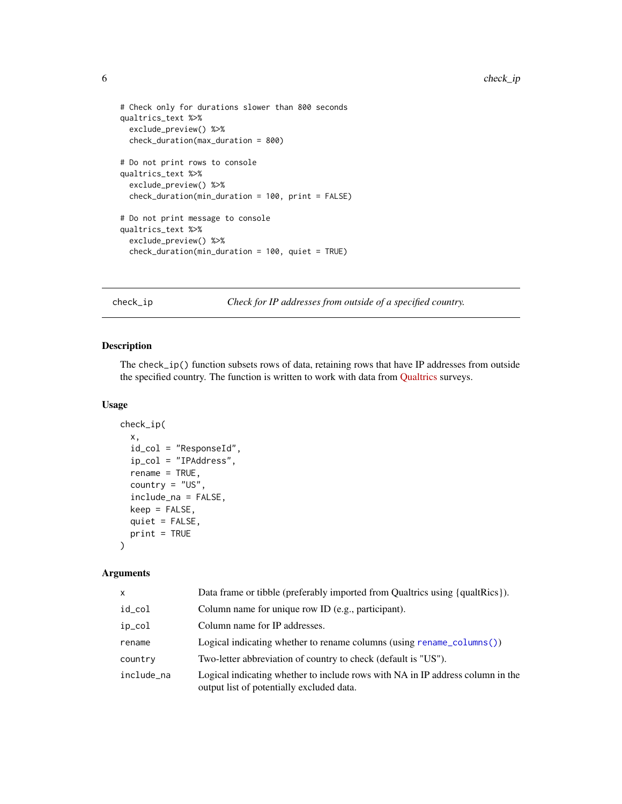```
# Check only for durations slower than 800 seconds
qualtrics_text %>%
  exclude_preview() %>%
  check_duration(max_duration = 800)
# Do not print rows to console
qualtrics_text %>%
  exclude_preview() %>%
  check_duration(min_duration = 100, print = FALSE)
# Do not print message to console
qualtrics_text %>%
  exclude_preview() %>%
  check_duration(min_duration = 100, quiet = TRUE)
```
<span id="page-5-1"></span>check\_ip *Check for IP addresses from outside of a specified country.*

# Description

The check\_ip() function subsets rows of data, retaining rows that have IP addresses from outside the specified country. The function is written to work with data from [Qualtrics](https://www.qualtrics.com/) surveys.

#### Usage

```
check_ip(
  x,
  id_col = "ResponseId",
  ip_col = "IPAddress",
  rename = TRUE,
  country = "US",
  include_na = FALSE,
  keep = FALSE,quiet = FALSE,
 print = TRUE
)
```
#### Arguments

| x          | Data frame or tibble (preferably imported from Qualtrics using {qualtrics}).                                                |
|------------|-----------------------------------------------------------------------------------------------------------------------------|
| id_col     | Column name for unique row ID (e.g., participant).                                                                          |
| ip_col     | Column name for IP addresses.                                                                                               |
| rename     | Logical indicating whether to rename columns (using rename_columns())                                                       |
| country    | Two-letter abbreviation of country to check (default is "US").                                                              |
| include na | Logical indicating whether to include rows with NA in IP address column in the<br>output list of potentially excluded data. |

<span id="page-5-0"></span>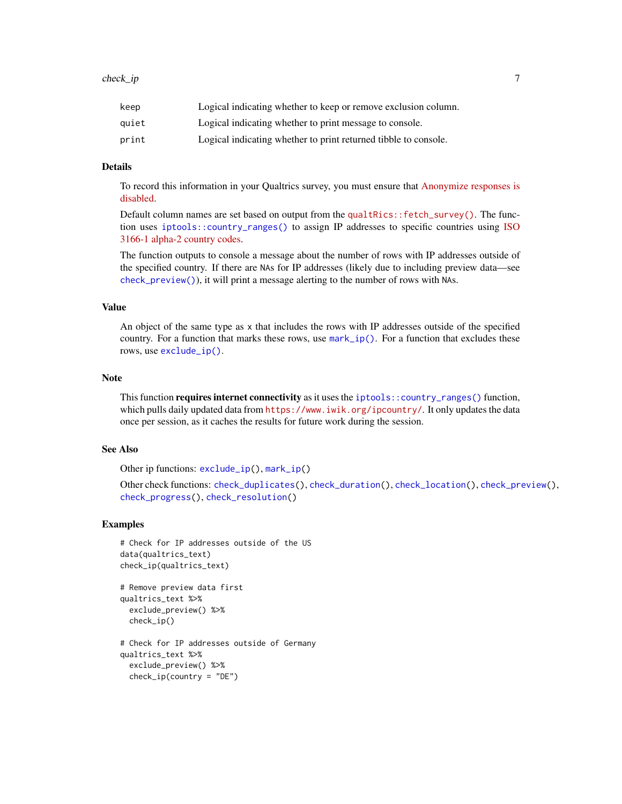<span id="page-6-0"></span>

| keep  | Logical indicating whether to keep or remove exclusion column.  |
|-------|-----------------------------------------------------------------|
| auiet | Logical indicating whether to print message to console.         |
| print | Logical indicating whether to print returned tibble to console. |

# Details

To record this information in your Qualtrics survey, you must ensure that [Anonymize responses is](https://www.qualtrics.com/support/survey-platform/survey-module/survey-options/survey-protection/#AnonymizingResponses) [disabled.](https://www.qualtrics.com/support/survey-platform/survey-module/survey-options/survey-protection/#AnonymizingResponses)

Default column names are set based on output from the qualtraces:: $fetch_survev()$ . The function uses [iptools::country\\_ranges\(\)](#page-0-0) to assign IP addresses to specific countries using [ISO](https://en.wikipedia.org/wiki/ISO_3166-1_alpha-2) [3166-1 alpha-2 country codes.](https://en.wikipedia.org/wiki/ISO_3166-1_alpha-2)

The function outputs to console a message about the number of rows with IP addresses outside of the specified country. If there are NAs for IP addresses (likely due to including preview data—see [check\\_preview\(\)](#page-8-1)), it will print a message alerting to the number of rows with NAs.

# Value

An object of the same type as x that includes the rows with IP addresses outside of the specified country. For a function that marks these rows, use  $mark\_ip()$ . For a function that excludes these rows, use [exclude\\_ip\(\)](#page-17-1).

#### Note

This function requires internet connectivity as it uses the [iptools::country\\_ranges\(\)](#page-0-0) function, which pulls daily updated data from <https://www.iwik.org/ipcountry/>. It only updates the data once per session, as it caches the results for future work during the session.

#### See Also

Other ip functions: [exclude\\_ip\(](#page-17-1)), [mark\\_ip\(](#page-28-1))

Other check functions: [check\\_duplicates\(](#page-1-1)), [check\\_duration\(](#page-3-1)), [check\\_location\(](#page-7-1)), [check\\_preview\(](#page-8-1)), [check\\_progress\(](#page-10-1)), [check\\_resolution\(](#page-12-1))

```
# Check for IP addresses outside of the US
data(qualtrics_text)
check_ip(qualtrics_text)
# Remove preview data first
qualtrics_text %>%
 exclude_preview() %>%
 check_ip()
# Check for IP addresses outside of Germany
qualtrics_text %>%
 exclude_preview() %>%
 check\_ip(country = "DE")
```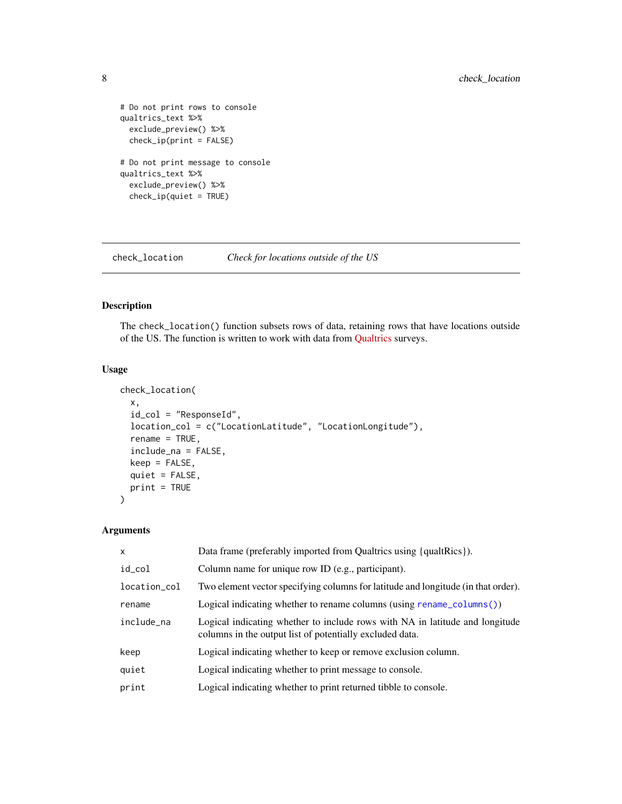```
# Do not print rows to console
qualtrics_text %>%
  exclude_preview() %>%
  check\_ip(print = FALSE)# Do not print message to console
qualtrics_text %>%
  exclude_preview() %>%
  check_ip(quiet = TRUE)
```
<span id="page-7-1"></span>check\_location *Check for locations outside of the US*

# Description

The check\_location() function subsets rows of data, retaining rows that have locations outside of the US. The function is written to work with data from [Qualtrics](https://www.qualtrics.com/) surveys.

# Usage

```
check_location(
 x,
  id_col = "ResponseId",
 location_col = c("LocationLatitude", "LocationLongitude"),
  rename = TRUE,
  include_na = FALSE,
 keep = FALSE,
 quiet = FALSE,
 print = TRUE
)
```
# Arguments

| $\mathsf{x}$ | Data frame (preferably imported from Qualtrics using {qualtrics}).                                                                       |
|--------------|------------------------------------------------------------------------------------------------------------------------------------------|
| id_col       | Column name for unique row ID (e.g., participant).                                                                                       |
| location_col | Two element vector specifying columns for latitude and longitude (in that order).                                                        |
| rename       | Logical indicating whether to rename columns (using rename_columns())                                                                    |
| include_na   | Logical indicating whether to include rows with NA in latitude and longitude<br>columns in the output list of potentially excluded data. |
| keep         | Logical indicating whether to keep or remove exclusion column.                                                                           |
| quiet        | Logical indicating whether to print message to console.                                                                                  |
| print        | Logical indicating whether to print returned tibble to console.                                                                          |

<span id="page-7-0"></span>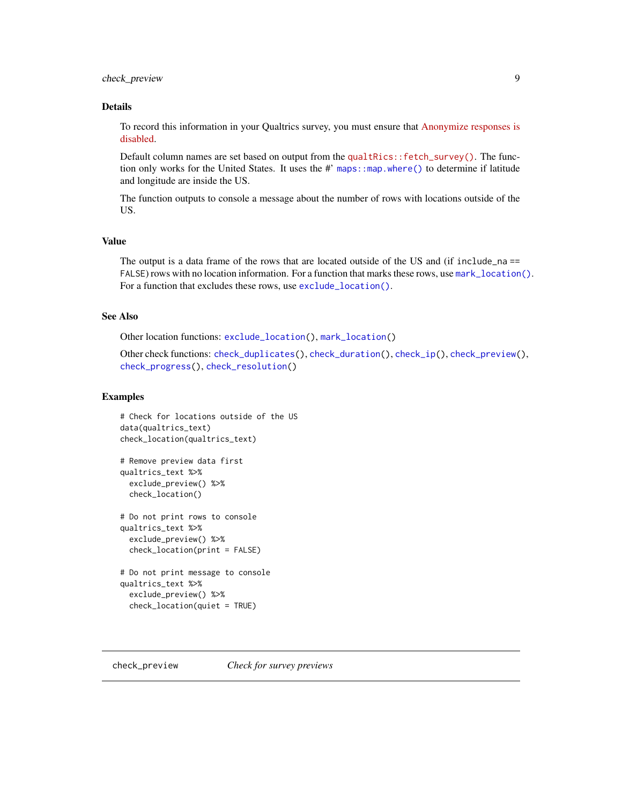# <span id="page-8-0"></span>check\_preview 9

# Details

To record this information in your Qualtrics survey, you must ensure that [Anonymize responses is](https://www.qualtrics.com/support/survey-platform/survey-module/survey-options/survey-protection/#AnonymizingResponses) [disabled.](https://www.qualtrics.com/support/survey-platform/survey-module/survey-options/survey-protection/#AnonymizingResponses)

Default column names are set based on output from the [qualtRics::fetch\\_survey\(\)](https://docs.ropensci.org/qualtRics/reference/fetch_survey.html). The function only works for the United States. It uses the #' maps: : map.where() to determine if latitude and longitude are inside the US.

The function outputs to console a message about the number of rows with locations outside of the US.

# Value

The output is a data frame of the rows that are located outside of the US and (if include\_na == FALSE) rows with no location information. For a function that marks these rows, use [mark\\_location\(\)](#page-30-1). For a function that excludes these rows, use [exclude\\_location\(\)](#page-19-1).

#### See Also

Other location functions: [exclude\\_location\(](#page-19-1)), [mark\\_location\(](#page-30-1))

Other check functions: [check\\_duplicates\(](#page-1-1)), [check\\_duration\(](#page-3-1)), [check\\_ip\(](#page-5-1)), [check\\_preview\(](#page-8-1)), [check\\_progress\(](#page-10-1)), [check\\_resolution\(](#page-12-1))

```
# Check for locations outside of the US
data(qualtrics_text)
check_location(qualtrics_text)
# Remove preview data first
qualtrics_text %>%
 exclude_preview() %>%
 check_location()
# Do not print rows to console
qualtrics_text %>%
 exclude_preview() %>%
 check_location(print = FALSE)
# Do not print message to console
qualtrics_text %>%
 exclude_preview() %>%
 check_location(quiet = TRUE)
```
<span id="page-8-1"></span>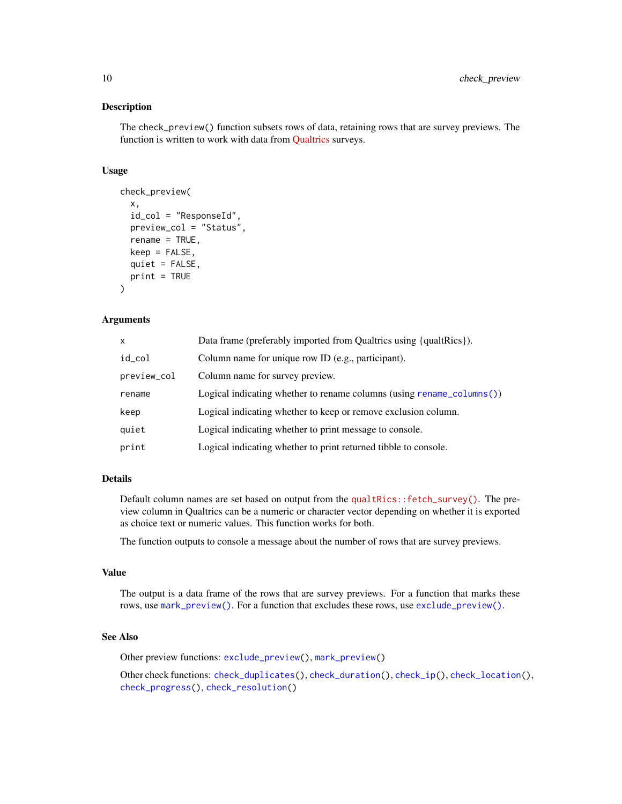The check\_preview() function subsets rows of data, retaining rows that are survey previews. The function is written to work with data from [Qualtrics](https://www.qualtrics.com/) surveys.

#### Usage

```
check_preview(
  x,
  id_col = "ResponseId",
  preview_col = "Status",
  rename = TRUE,
  keep = FALSE,
  quiet = FALSE,
  print = TRUE
)
```
# **Arguments**

| x           | Data frame (preferably imported from Qualtrics using {qualtrics}).            |
|-------------|-------------------------------------------------------------------------------|
| id_col      | Column name for unique row ID (e.g., participant).                            |
| preview_col | Column name for survey preview.                                               |
| rename      | Logical indicating whether to rename columns (using rename $\text{column}($ ) |
| keep        | Logical indicating whether to keep or remove exclusion column.                |
| quiet       | Logical indicating whether to print message to console.                       |
| print       | Logical indicating whether to print returned tibble to console.               |

# Details

Default column names are set based on output from the [qualtRics::fetch\\_survey\(\)](https://docs.ropensci.org/qualtRics/reference/fetch_survey.html). The preview column in Qualtrics can be a numeric or character vector depending on whether it is exported as choice text or numeric values. This function works for both.

The function outputs to console a message about the number of rows that are survey previews.

#### Value

The output is a data frame of the rows that are survey previews. For a function that marks these rows, use [mark\\_preview\(\)](#page-31-1). For a function that excludes these rows, use [exclude\\_preview\(\)](#page-21-1).

#### See Also

Other preview functions: [exclude\\_preview\(](#page-21-1)), [mark\\_preview\(](#page-31-1))

Other check functions: [check\\_duplicates\(](#page-1-1)), [check\\_duration\(](#page-3-1)), [check\\_ip\(](#page-5-1)), [check\\_location\(](#page-7-1)), [check\\_progress\(](#page-10-1)), [check\\_resolution\(](#page-12-1))

<span id="page-9-0"></span>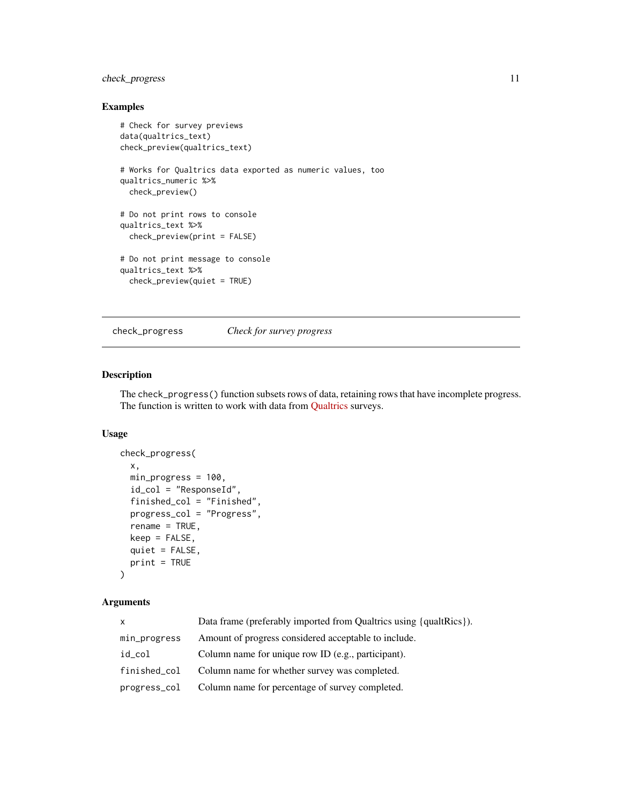# <span id="page-10-0"></span>check\_progress 11

# Examples

```
# Check for survey previews
data(qualtrics_text)
check_preview(qualtrics_text)
# Works for Qualtrics data exported as numeric values, too
qualtrics_numeric %>%
  check_preview()
# Do not print rows to console
qualtrics_text %>%
  check_preview(print = FALSE)
# Do not print message to console
qualtrics_text %>%
  check_preview(quiet = TRUE)
```
<span id="page-10-1"></span>check\_progress *Check for survey progress*

# Description

The check\_progress() function subsets rows of data, retaining rows that have incomplete progress. The function is written to work with data from [Qualtrics](https://www.qualtrics.com/) surveys.

#### Usage

```
check_progress(
  x,
 min_progress = 100,
  id_col = "ResponseId",
  finished_col = "Finished",
 progress_col = "Progress",
  rename = TRUE,
 keep = FALSE,
 quiet = FALSE,
 print = TRUE
\mathcal{L}
```
# Arguments

| X            | Data frame (preferably imported from Qualtrics using {qualtrics}). |
|--------------|--------------------------------------------------------------------|
| min_progress | Amount of progress considered acceptable to include.               |
| id_col       | Column name for unique row ID (e.g., participant).                 |
| finished_col | Column name for whether survey was completed.                      |
|              | progress_col Column name for percentage of survey completed.       |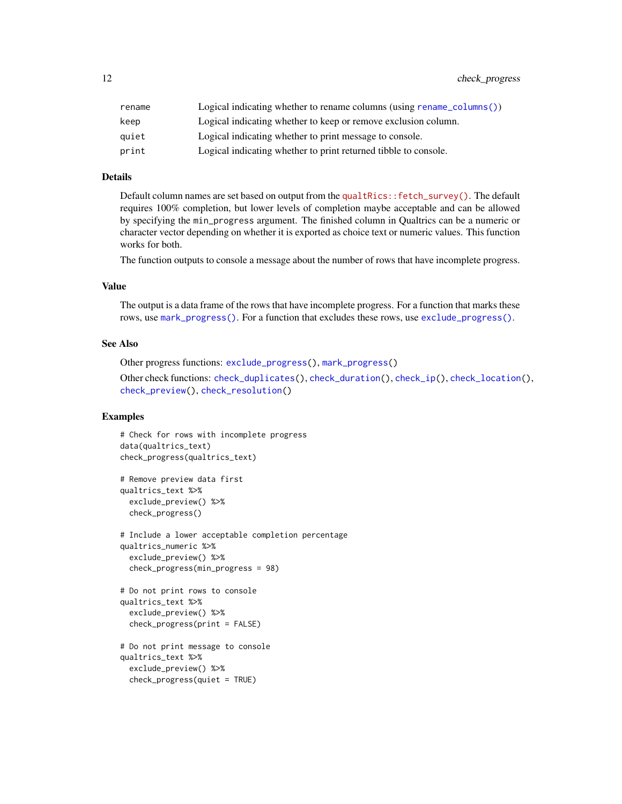<span id="page-11-0"></span>

| rename | Logical indicating whether to rename columns (using rename $\text{column}()$ ) |
|--------|--------------------------------------------------------------------------------|
| keep   | Logical indicating whether to keep or remove exclusion column.                 |
| auiet  | Logical indicating whether to print message to console.                        |
| print  | Logical indicating whether to print returned tibble to console.                |

#### Details

Default column names are set based on output from the [qualtRics::fetch\\_survey\(\)](https://docs.ropensci.org/qualtRics/reference/fetch_survey.html). The default requires 100% completion, but lower levels of completion maybe acceptable and can be allowed by specifying the min\_progress argument. The finished column in Qualtrics can be a numeric or character vector depending on whether it is exported as choice text or numeric values. This function works for both.

The function outputs to console a message about the number of rows that have incomplete progress.

## Value

The output is a data frame of the rows that have incomplete progress. For a function that marks these rows, use [mark\\_progress\(\)](#page-33-1). For a function that excludes these rows, use [exclude\\_progress\(\)](#page-22-1).

#### See Also

Other progress functions: [exclude\\_progress\(](#page-22-1)), [mark\\_progress\(](#page-33-1)) Other check functions: [check\\_duplicates\(](#page-1-1)), [check\\_duration\(](#page-3-1)), [check\\_ip\(](#page-5-1)), [check\\_location\(](#page-7-1)), [check\\_preview\(](#page-8-1)), [check\\_resolution\(](#page-12-1))

```
# Check for rows with incomplete progress
data(qualtrics_text)
check_progress(qualtrics_text)
# Remove preview data first
qualtrics_text %>%
 exclude_preview() %>%
 check_progress()
# Include a lower acceptable completion percentage
qualtrics_numeric %>%
 exclude_preview() %>%
 check_progress(min_progress = 98)
# Do not print rows to console
qualtrics_text %>%
 exclude_preview() %>%
 check_progress(print = FALSE)
# Do not print message to console
qualtrics_text %>%
 exclude_preview() %>%
 check_progress(quiet = TRUE)
```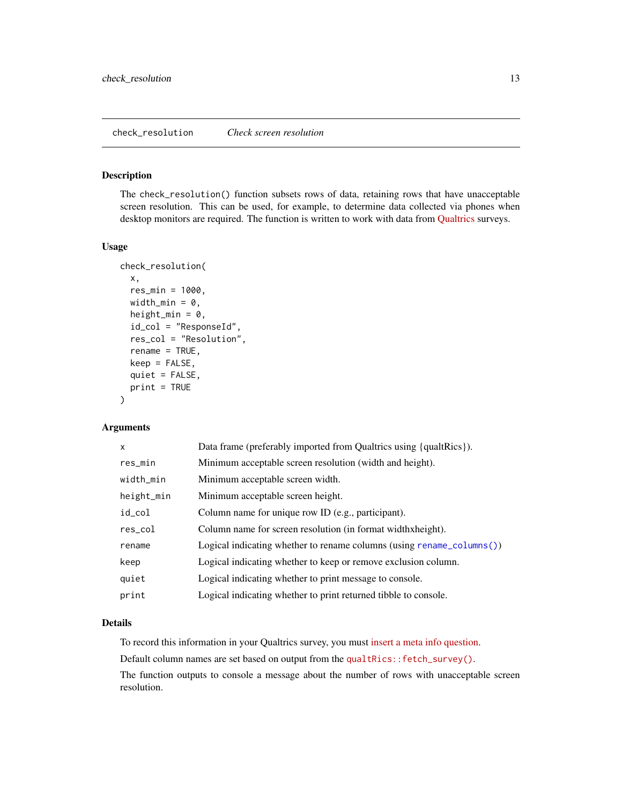<span id="page-12-1"></span><span id="page-12-0"></span>The check\_resolution() function subsets rows of data, retaining rows that have unacceptable screen resolution. This can be used, for example, to determine data collected via phones when desktop monitors are required. The function is written to work with data from [Qualtrics](https://www.qualtrics.com/) surveys.

# Usage

```
check_resolution(
  x,
  res_min = 1000,
 width_min = 0,
  height_min = 0,
  id_col = "ResponseId",
  res_col = "Resolution",
  rename = TRUE,
  keep = FALSE,
  quiet = FALSE,
  print = TRUE
\lambda
```
# Arguments

| x          | Data frame (preferably imported from Qualtrics using {qualtRics}).            |
|------------|-------------------------------------------------------------------------------|
| res_min    | Minimum acceptable screen resolution (width and height).                      |
| width_min  | Minimum acceptable screen width.                                              |
| height_min | Minimum acceptable screen height.                                             |
| id_col     | Column name for unique row ID (e.g., participant).                            |
| res_col    | Column name for screen resolution (in format widthxheight).                   |
| rename     | Logical indicating whether to rename columns (using rename $\text{column}($ ) |
| keep       | Logical indicating whether to keep or remove exclusion column.                |
| quiet      | Logical indicating whether to print message to console.                       |
| print      | Logical indicating whether to print returned tibble to console.               |

# Details

To record this information in your Qualtrics survey, you must [insert a meta info question.](https://www.qualtrics.com/support/survey-platform/survey-module/editing-questions/question-types-guide/advanced/meta-info-question/)

Default column names are set based on output from the [qualtRics::fetch\\_survey\(\)](https://docs.ropensci.org/qualtRics/reference/fetch_survey.html).

The function outputs to console a message about the number of rows with unacceptable screen resolution.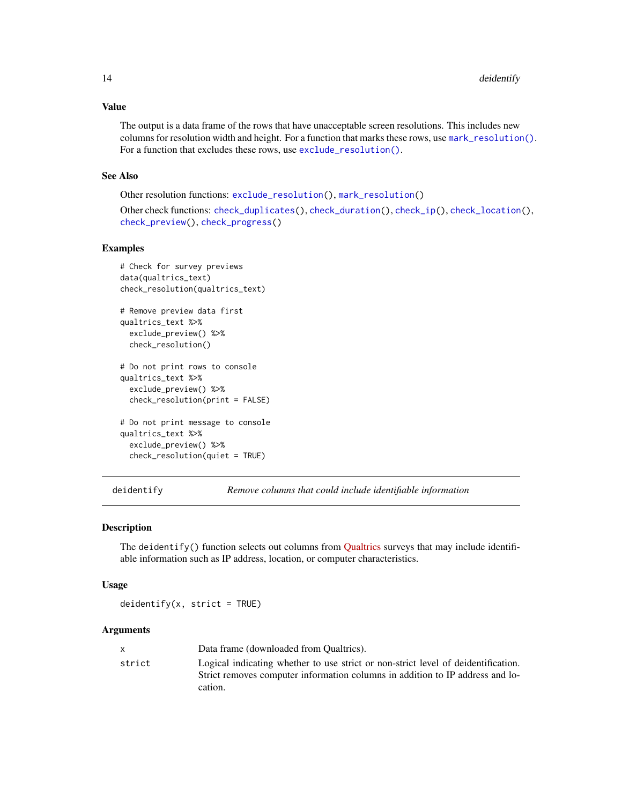## <span id="page-13-0"></span>Value

The output is a data frame of the rows that have unacceptable screen resolutions. This includes new columns for resolution width and height. For a function that marks these rows, use [mark\\_resolution\(\)](#page-34-1). For a function that excludes these rows, use [exclude\\_resolution\(\)](#page-24-1).

#### See Also

```
Other resolution functions: exclude_resolution(), mark_resolution()
Other check functions: check_duplicates(), check_duration(), check_ip(), check_location(),
check_preview(), check_progress()
```
#### Examples

```
# Check for survey previews
data(qualtrics_text)
check_resolution(qualtrics_text)
# Remove preview data first
qualtrics_text %>%
 exclude_preview() %>%
 check_resolution()
# Do not print rows to console
qualtrics_text %>%
 exclude_preview() %>%
 check_resolution(print = FALSE)
# Do not print message to console
qualtrics_text %>%
 exclude_preview() %>%
 check_resolution(quiet = TRUE)
```
deidentify *Remove columns that could include identifiable information*

#### **Description**

The deidentify() function selects out columns from [Qualtrics](https://www.qualtrics.com/) surveys that may include identifiable information such as IP address, location, or computer characteristics.

#### Usage

 $deidentity(x, strict = TRUE)$ 

### Arguments

|        | Data frame (downloaded from Oualtrics).                                           |
|--------|-----------------------------------------------------------------------------------|
| strict | Logical indicating whether to use strict or non-strict level of deidentification. |
|        | Strict removes computer information columns in addition to IP address and lo-     |
|        | cation.                                                                           |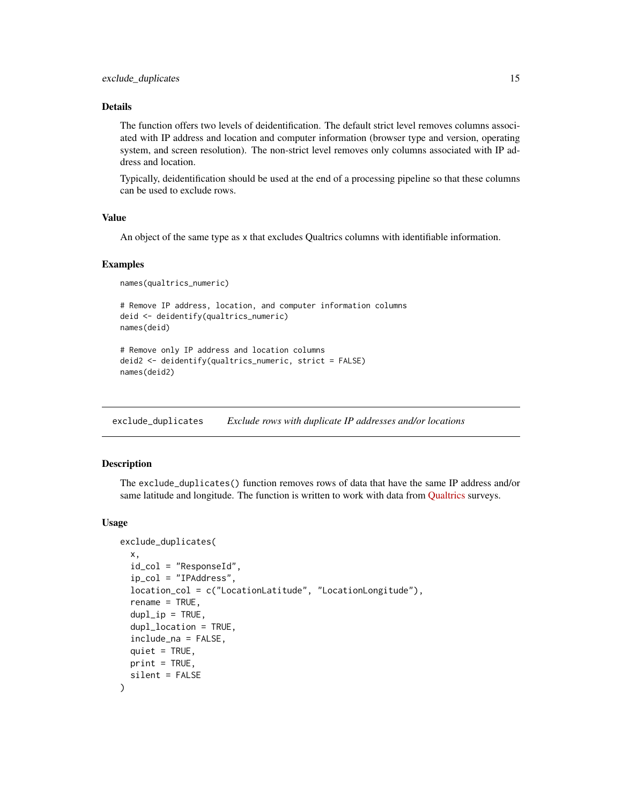# <span id="page-14-0"></span>Details

The function offers two levels of deidentification. The default strict level removes columns associated with IP address and location and computer information (browser type and version, operating system, and screen resolution). The non-strict level removes only columns associated with IP address and location.

Typically, deidentification should be used at the end of a processing pipeline so that these columns can be used to exclude rows.

# Value

An object of the same type as x that excludes Qualtrics columns with identifiable information.

#### Examples

```
names(qualtrics_numeric)
```

```
# Remove IP address, location, and computer information columns
deid <- deidentify(qualtrics_numeric)
names(deid)
```

```
# Remove only IP address and location columns
deid2 <- deidentify(qualtrics_numeric, strict = FALSE)
names(deid2)
```
<span id="page-14-1"></span>exclude\_duplicates *Exclude rows with duplicate IP addresses and/or locations*

#### Description

The exclude\_duplicates() function removes rows of data that have the same IP address and/or same latitude and longitude. The function is written to work with data from [Qualtrics](https://www.qualtrics.com/) surveys.

#### Usage

```
exclude_duplicates(
  x,
  id_col = "ResponseId",
  ip_col = "IPAddress",
  location_col = c("LocationLatitude", "LocationLongitude"),
  rename = TRUE,
  dupl<sub>_ip</sub> = TRUE,
  dupl_location = TRUE,
  include_na = FALSE,
  quiet = TRUE,
 print = TRUE,silent = FALSE
)
```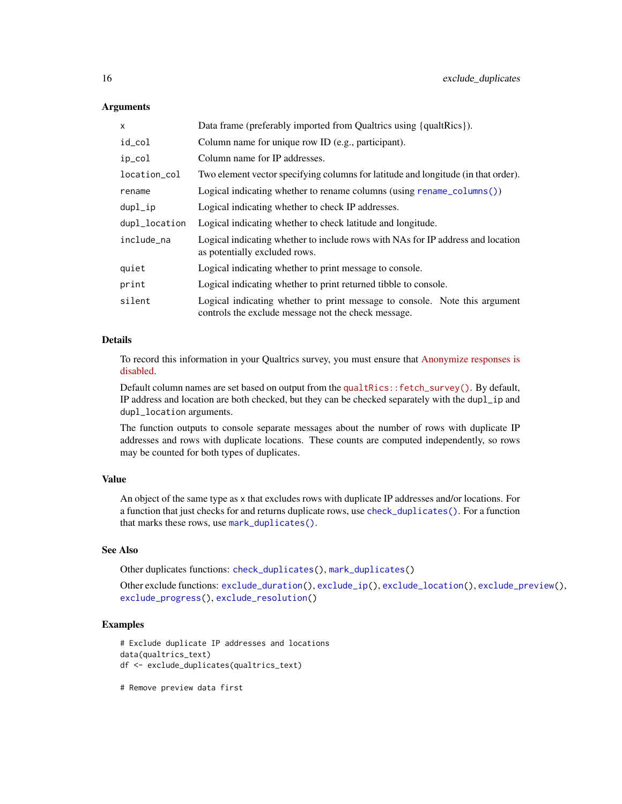#### Arguments

| x             | Data frame (preferably imported from Qualtrics using {qualtrics}).                                                                |
|---------------|-----------------------------------------------------------------------------------------------------------------------------------|
| id_col        | Column name for unique row ID (e.g., participant).                                                                                |
| ip_col        | Column name for IP addresses.                                                                                                     |
| location_col  | Two element vector specifying columns for latitude and longitude (in that order).                                                 |
| rename        | Logical indicating whether to rename columns (using rename $\text{column}()$ )                                                    |
| dupl_ip       | Logical indicating whether to check IP addresses.                                                                                 |
| dupl_location | Logical indicating whether to check latitude and longitude.                                                                       |
| include na    | Logical indicating whether to include rows with NAs for IP address and location<br>as potentially excluded rows.                  |
| quiet         | Logical indicating whether to print message to console.                                                                           |
| print         | Logical indicating whether to print returned tibble to console.                                                                   |
| silent        | Logical indicating whether to print message to console. Note this argument<br>controls the exclude message not the check message. |

# Details

To record this information in your Qualtrics survey, you must ensure that [Anonymize responses is](https://www.qualtrics.com/support/survey-platform/survey-module/survey-options/survey-protection/#AnonymizingResponses) [disabled.](https://www.qualtrics.com/support/survey-platform/survey-module/survey-options/survey-protection/#AnonymizingResponses)

Default column names are set based on output from the [qualtRics::fetch\\_survey\(\)](https://docs.ropensci.org/qualtRics/reference/fetch_survey.html). By default, IP address and location are both checked, but they can be checked separately with the dupl\_ip and dupl\_location arguments.

The function outputs to console separate messages about the number of rows with duplicate IP addresses and rows with duplicate locations. These counts are computed independently, so rows may be counted for both types of duplicates.

### Value

An object of the same type as x that excludes rows with duplicate IP addresses and/or locations. For a function that just checks for and returns duplicate rows, use [check\\_duplicates\(\)](#page-1-1). For a function that marks these rows, use [mark\\_duplicates\(\)](#page-25-1).

#### See Also

Other duplicates functions: [check\\_duplicates\(](#page-1-1)), [mark\\_duplicates\(](#page-25-1))

Other exclude functions: [exclude\\_duration\(](#page-16-1)), [exclude\\_ip\(](#page-17-1)), [exclude\\_location\(](#page-19-1)), [exclude\\_preview\(](#page-21-1)), [exclude\\_progress\(](#page-22-1)), [exclude\\_resolution\(](#page-24-1))

# Examples

```
# Exclude duplicate IP addresses and locations
data(qualtrics_text)
df <- exclude_duplicates(qualtrics_text)
```
# Remove preview data first

<span id="page-15-0"></span>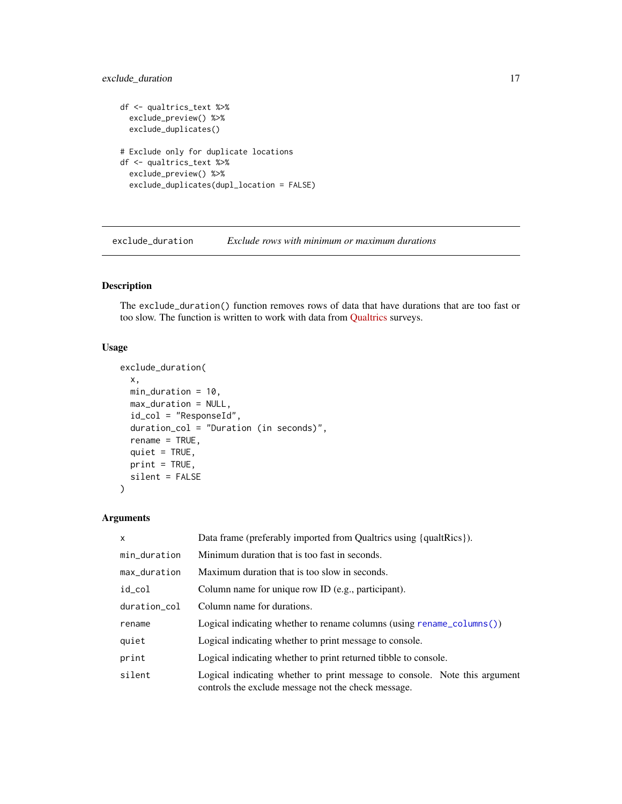# <span id="page-16-0"></span>exclude\_duration 17

```
df <- qualtrics_text %>%
  exclude_preview() %>%
  exclude_duplicates()
# Exclude only for duplicate locations
df <- qualtrics_text %>%
  exclude_preview() %>%
  exclude_duplicates(dupl_location = FALSE)
```
<span id="page-16-1"></span>exclude\_duration *Exclude rows with minimum or maximum durations*

# Description

The exclude\_duration() function removes rows of data that have durations that are too fast or too slow. The function is written to work with data from [Qualtrics](https://www.qualtrics.com/) surveys.

### Usage

```
exclude_duration(
  x,
 min_duration = 10,
 max_duration = NULL,
  id_col = "ResponseId",
  duration_col = "Duration (in seconds)",
  rename = TRUE,
 quiet = TRUE,
 print = TRUE,
  silent = FALSE
)
```
# Arguments

| $\mathsf{x}$ | Data frame (preferably imported from Qualtrics using {qualtRics}).                                                                |
|--------------|-----------------------------------------------------------------------------------------------------------------------------------|
| min_duration | Minimum duration that is too fast in seconds.                                                                                     |
| max_duration | Maximum duration that is too slow in seconds.                                                                                     |
| id_col       | Column name for unique row ID (e.g., participant).                                                                                |
| duration col | Column name for durations.                                                                                                        |
| rename       | Logical indicating whether to rename columns (using rename_columns())                                                             |
| quiet        | Logical indicating whether to print message to console.                                                                           |
| print        | Logical indicating whether to print returned tibble to console.                                                                   |
| silent       | Logical indicating whether to print message to console. Note this argument<br>controls the exclude message not the check message. |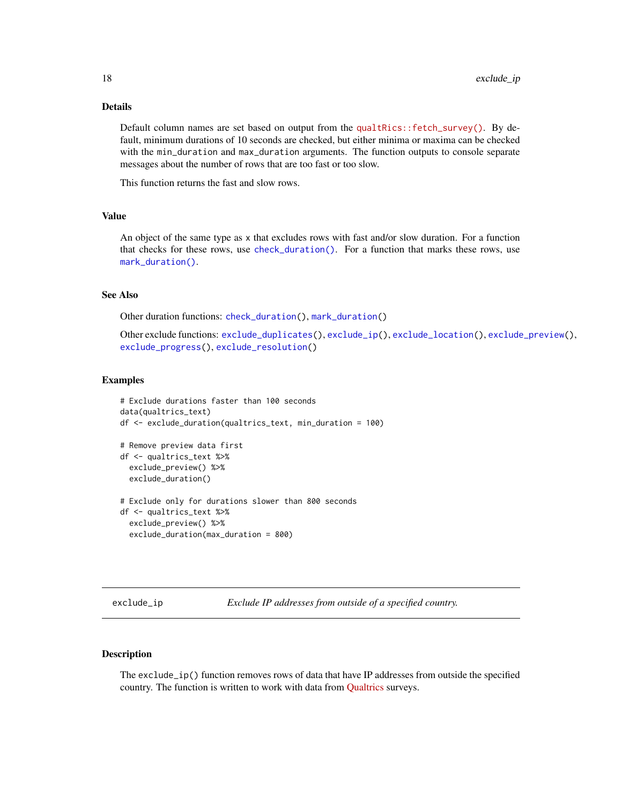# <span id="page-17-0"></span>Details

Default column names are set based on output from the [qualtRics::fetch\\_survey\(\)](https://docs.ropensci.org/qualtRics/reference/fetch_survey.html). By default, minimum durations of 10 seconds are checked, but either minima or maxima can be checked with the min\_duration and max\_duration arguments. The function outputs to console separate messages about the number of rows that are too fast or too slow.

This function returns the fast and slow rows.

#### Value

An object of the same type as x that excludes rows with fast and/or slow duration. For a function that checks for these rows, use [check\\_duration\(\)](#page-3-1). For a function that marks these rows, use [mark\\_duration\(\)](#page-27-1).

# See Also

Other duration functions: [check\\_duration\(](#page-3-1)), [mark\\_duration\(](#page-27-1))

Other exclude functions: [exclude\\_duplicates\(](#page-14-1)), [exclude\\_ip\(](#page-17-1)), [exclude\\_location\(](#page-19-1)), [exclude\\_preview\(](#page-21-1)), [exclude\\_progress\(](#page-22-1)), [exclude\\_resolution\(](#page-24-1))

#### Examples

```
# Exclude durations faster than 100 seconds
data(qualtrics_text)
df <- exclude_duration(qualtrics_text, min_duration = 100)
# Remove preview data first
df <- qualtrics_text %>%
 exclude_preview() %>%
 exclude_duration()
# Exclude only for durations slower than 800 seconds
df <- qualtrics_text %>%
 exclude_preview() %>%
 exclude_duration(max_duration = 800)
```
<span id="page-17-1"></span>exclude\_ip *Exclude IP addresses from outside of a specified country.*

#### Description

The exclude\_ip() function removes rows of data that have IP addresses from outside the specified country. The function is written to work with data from [Qualtrics](https://www.qualtrics.com/) surveys.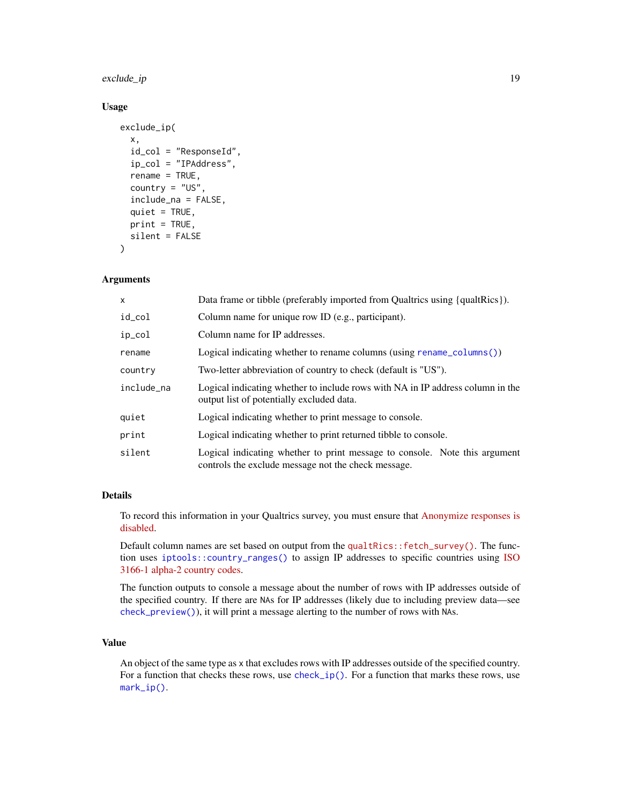# <span id="page-18-0"></span>exclude\_ip 19

#### Usage

```
exclude_ip(
  x,
  id_col = "ResponseId",
  ip_col = "IPAddress",
  rename = TRUE,
  country = "US",include_na = FALSE,
  quiet = TRUE,
  print = TRUE,silent = FALSE
)
```
# Arguments

| x          | Data frame or tibble (preferably imported from Qualtrics using {qualtrics}).                                                      |
|------------|-----------------------------------------------------------------------------------------------------------------------------------|
| id_col     | Column name for unique row ID (e.g., participant).                                                                                |
| ip_col     | Column name for IP addresses.                                                                                                     |
| rename     | Logical indicating whether to rename columns (using rename_columns())                                                             |
| country    | Two-letter abbreviation of country to check (default is "US").                                                                    |
| include na | Logical indicating whether to include rows with NA in IP address column in the<br>output list of potentially excluded data.       |
| quiet      | Logical indicating whether to print message to console.                                                                           |
| print      | Logical indicating whether to print returned tibble to console.                                                                   |
| silent     | Logical indicating whether to print message to console. Note this argument<br>controls the exclude message not the check message. |

#### Details

To record this information in your Qualtrics survey, you must ensure that [Anonymize responses is](https://www.qualtrics.com/support/survey-platform/survey-module/survey-options/survey-protection/#AnonymizingResponses) [disabled.](https://www.qualtrics.com/support/survey-platform/survey-module/survey-options/survey-protection/#AnonymizingResponses)

Default column names are set based on output from the [qualtRics::fetch\\_survey\(\)](https://docs.ropensci.org/qualtRics/reference/fetch_survey.html). The function uses [iptools::country\\_ranges\(\)](#page-0-0) to assign IP addresses to specific countries using [ISO](https://en.wikipedia.org/wiki/ISO_3166-1_alpha-2) [3166-1 alpha-2 country codes.](https://en.wikipedia.org/wiki/ISO_3166-1_alpha-2)

The function outputs to console a message about the number of rows with IP addresses outside of the specified country. If there are NAs for IP addresses (likely due to including preview data—see [check\\_preview\(\)](#page-8-1)), it will print a message alerting to the number of rows with NAs.

# Value

An object of the same type as x that excludes rows with IP addresses outside of the specified country. For a function that checks these rows, use [check\\_ip\(\)](#page-5-1). For a function that marks these rows, use [mark\\_ip\(\)](#page-28-1).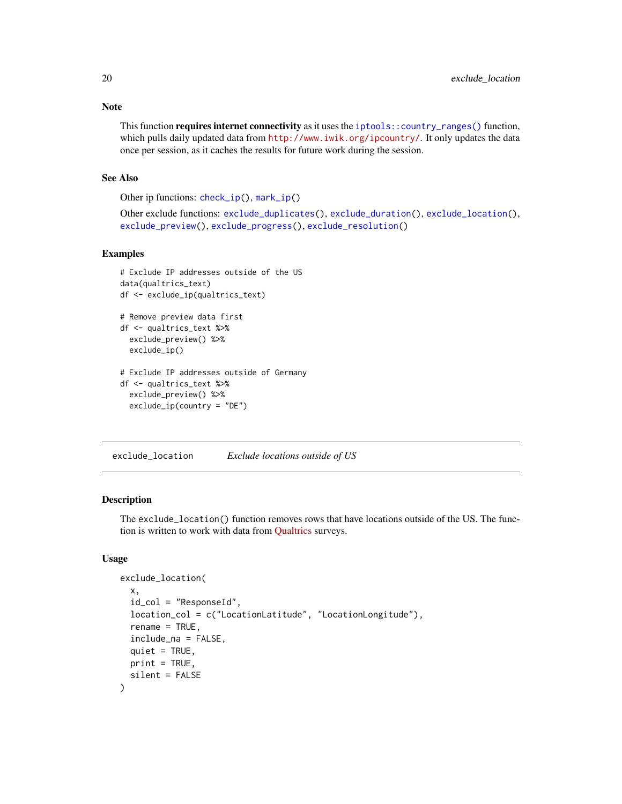This function requires internet connectivity as it uses the [iptools::country\\_ranges\(\)](#page-0-0) function, which pulls daily updated data from <http://www.iwik.org/ipcountry/>. It only updates the data once per session, as it caches the results for future work during the session.

# See Also

Other ip functions: [check\\_ip\(](#page-5-1)), [mark\\_ip\(](#page-28-1))

Other exclude functions: [exclude\\_duplicates\(](#page-14-1)), [exclude\\_duration\(](#page-16-1)), [exclude\\_location\(](#page-19-1)), [exclude\\_preview\(](#page-21-1)), [exclude\\_progress\(](#page-22-1)), [exclude\\_resolution\(](#page-24-1))

#### Examples

```
# Exclude IP addresses outside of the US
data(qualtrics_text)
df <- exclude_ip(qualtrics_text)
# Remove preview data first
df <- qualtrics_text %>%
 exclude_preview() %>%
 exclude_ip()
# Exclude IP addresses outside of Germany
df <- qualtrics_text %>%
 exclude_preview() %>%
 exclude_ip(country = "DE")
```
<span id="page-19-1"></span>exclude\_location *Exclude locations outside of US*

# Description

The exclude\_location() function removes rows that have locations outside of the US. The function is written to work with data from [Qualtrics](https://www.qualtrics.com/) surveys.

#### Usage

```
exclude_location(
  x,
  id_{col} = "ResponseId",
  location_col = c("LocationLatitude", "LocationLongitude"),
  rename = TRUE,
  include_na = FALSE,
  quiet = TRUE,
 print = TRUE,silent = FALSE
)
```
<span id="page-19-0"></span>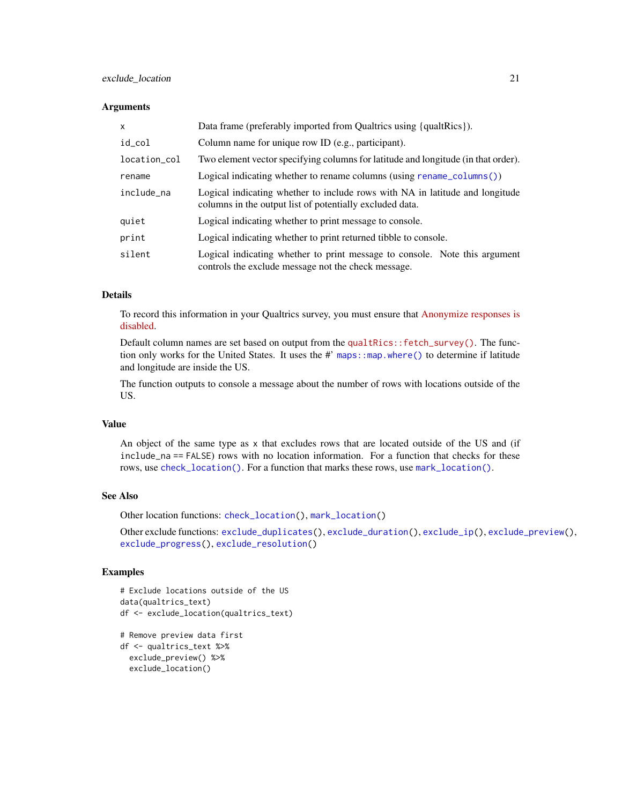# <span id="page-20-0"></span>exclude\_location 21

#### **Arguments**

| x            | Data frame (preferably imported from Qualtrics using {qualtrics}).                                                                       |
|--------------|------------------------------------------------------------------------------------------------------------------------------------------|
| id_col       | Column name for unique row ID (e.g., participant).                                                                                       |
| location_col | Two element vector specifying columns for latitude and longitude (in that order).                                                        |
| rename       | Logical indicating whether to rename columns (using rename_columns())                                                                    |
| include_na   | Logical indicating whether to include rows with NA in latitude and longitude<br>columns in the output list of potentially excluded data. |
| quiet        | Logical indicating whether to print message to console.                                                                                  |
| print        | Logical indicating whether to print returned tibble to console.                                                                          |
| silent       | Logical indicating whether to print message to console. Note this argument<br>controls the exclude message not the check message.        |

#### Details

To record this information in your Qualtrics survey, you must ensure that [Anonymize responses is](https://www.qualtrics.com/support/survey-platform/survey-module/survey-options/survey-protection/#AnonymizingResponses) [disabled.](https://www.qualtrics.com/support/survey-platform/survey-module/survey-options/survey-protection/#AnonymizingResponses)

Default column names are set based on output from the [qualtRics::fetch\\_survey\(\)](https://docs.ropensci.org/qualtRics/reference/fetch_survey.html). The function only works for the United States. It uses the #' maps: : map.where() to determine if latitude and longitude are inside the US.

The function outputs to console a message about the number of rows with locations outside of the US.

#### Value

An object of the same type as x that excludes rows that are located outside of the US and (if include\_na == FALSE) rows with no location information. For a function that checks for these rows, use [check\\_location\(\)](#page-7-1). For a function that marks these rows, use [mark\\_location\(\)](#page-30-1).

# See Also

Other location functions: [check\\_location\(](#page-7-1)), [mark\\_location\(](#page-30-1))

Other exclude functions: [exclude\\_duplicates\(](#page-14-1)), [exclude\\_duration\(](#page-16-1)), [exclude\\_ip\(](#page-17-1)), [exclude\\_preview\(](#page-21-1)), [exclude\\_progress\(](#page-22-1)), [exclude\\_resolution\(](#page-24-1))

```
# Exclude locations outside of the US
data(qualtrics_text)
df <- exclude_location(qualtrics_text)
```

```
# Remove preview data first
df <- qualtrics_text %>%
 exclude_preview() %>%
 exclude_location()
```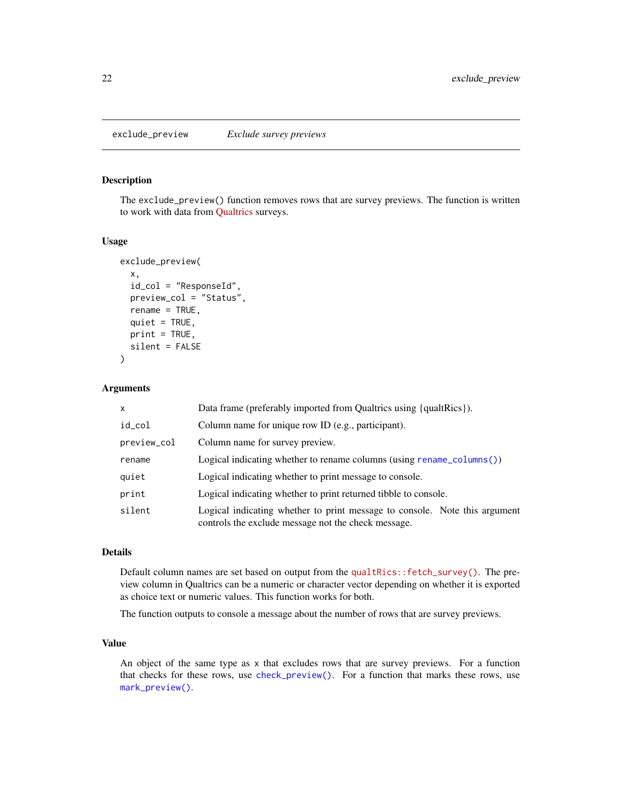<span id="page-21-1"></span><span id="page-21-0"></span>The exclude\_preview() function removes rows that are survey previews. The function is written to work with data from [Qualtrics](https://www.qualtrics.com/) surveys.

#### Usage

```
exclude_preview(
  x,
  id_{col} = "ResponseId",
 preview_col = "Status",
  rename = TRUE,
  quiet = TRUE,
 print = TRUE,
  silent = FALSE
)
```
#### Arguments

| $\mathsf{x}$ | Data frame (preferably imported from Qualtrics using {qualtrics}).                                                                |
|--------------|-----------------------------------------------------------------------------------------------------------------------------------|
| id_col       | Column name for unique row ID (e.g., participant).                                                                                |
| preview_col  | Column name for survey preview.                                                                                                   |
| rename       | Logical indicating whether to rename columns (using rename_columns())                                                             |
| quiet        | Logical indicating whether to print message to console.                                                                           |
| print        | Logical indicating whether to print returned tibble to console.                                                                   |
| silent       | Logical indicating whether to print message to console. Note this argument<br>controls the exclude message not the check message. |

#### Details

Default column names are set based on output from the [qualtRics::fetch\\_survey\(\)](https://docs.ropensci.org/qualtRics/reference/fetch_survey.html). The preview column in Qualtrics can be a numeric or character vector depending on whether it is exported as choice text or numeric values. This function works for both.

The function outputs to console a message about the number of rows that are survey previews.

### Value

An object of the same type as x that excludes rows that are survey previews. For a function that checks for these rows, use [check\\_preview\(\)](#page-8-1). For a function that marks these rows, use [mark\\_preview\(\)](#page-31-1).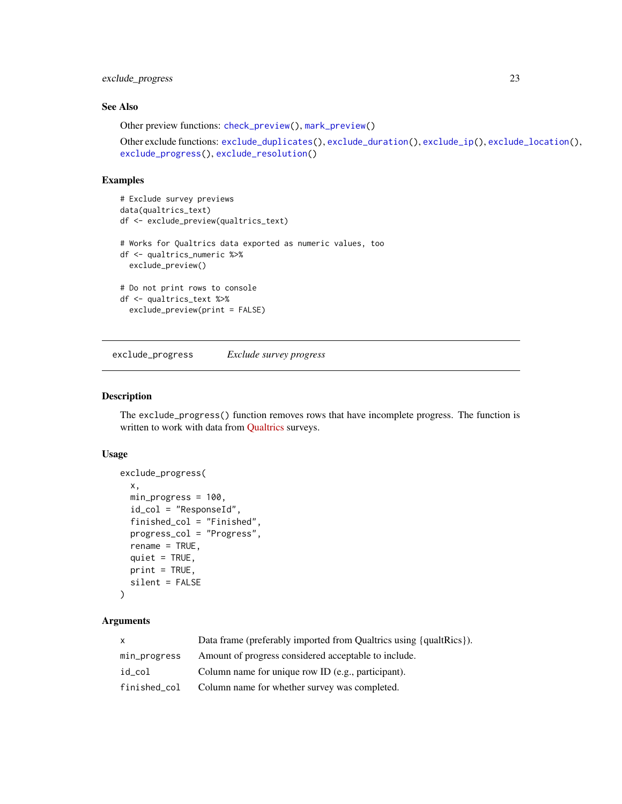# <span id="page-22-0"></span>exclude\_progress 23

# See Also

Other preview functions: [check\\_preview\(](#page-8-1)), [mark\\_preview\(](#page-31-1))

```
Other exclude functions: exclude_duplicates(), exclude_duration(), exclude_ip(), exclude_location(),
exclude_progress(), exclude_resolution()
```
# Examples

```
# Exclude survey previews
data(qualtrics_text)
df <- exclude_preview(qualtrics_text)
# Works for Qualtrics data exported as numeric values, too
df <- qualtrics_numeric %>%
  exclude_preview()
# Do not print rows to console
df <- qualtrics_text %>%
  exclude_preview(print = FALSE)
```
<span id="page-22-1"></span>exclude\_progress *Exclude survey progress*

#### Description

The exclude\_progress() function removes rows that have incomplete progress. The function is written to work with data from [Qualtrics](https://www.qualtrics.com/) surveys.

## Usage

```
exclude_progress(
  x,
  min_progress = 100,
  id_{col} = "ResponseId",
  finished_col = "Finished",
  progress_col = "Progress",
  rename = TRUE,
  quiet = TRUE,print = TRUE,silent = FALSE
\lambda
```
#### Arguments

| X            | Data frame (preferably imported from Qualtrics using {qualtRics}). |
|--------------|--------------------------------------------------------------------|
| min_progress | Amount of progress considered acceptable to include.               |
| id col       | Column name for unique row ID (e.g., participant).                 |
| finished col | Column name for whether survey was completed.                      |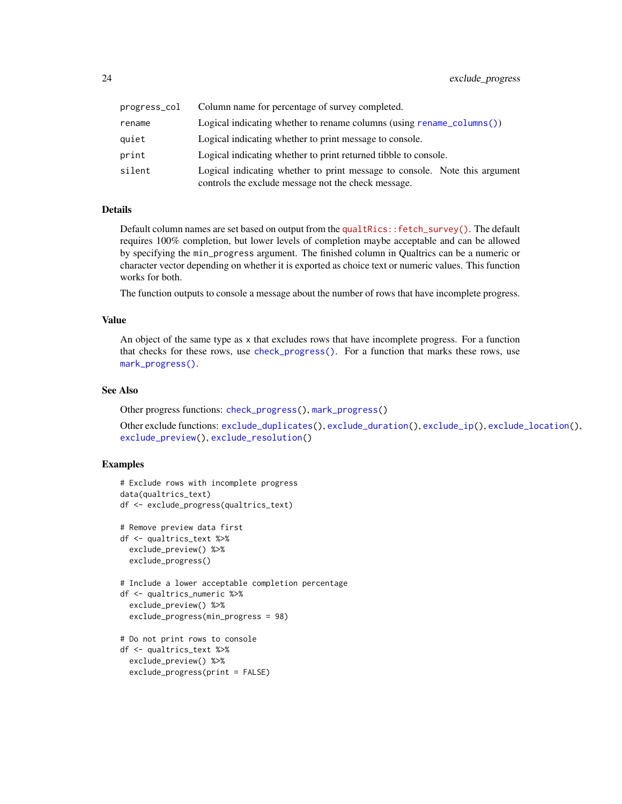<span id="page-23-0"></span>

| progress_col | Column name for percentage of survey completed.                                                                                   |
|--------------|-----------------------------------------------------------------------------------------------------------------------------------|
| rename       | Logical indicating whether to rename columns (using rename $\text{column}()$ )                                                    |
| quiet        | Logical indicating whether to print message to console.                                                                           |
| print        | Logical indicating whether to print returned tibble to console.                                                                   |
| silent       | Logical indicating whether to print message to console. Note this argument<br>controls the exclude message not the check message. |

#### Details

Default column names are set based on output from the [qualtRics::fetch\\_survey\(\)](https://docs.ropensci.org/qualtRics/reference/fetch_survey.html). The default requires 100% completion, but lower levels of completion maybe acceptable and can be allowed by specifying the min\_progress argument. The finished column in Qualtrics can be a numeric or character vector depending on whether it is exported as choice text or numeric values. This function works for both.

The function outputs to console a message about the number of rows that have incomplete progress.

# Value

An object of the same type as x that excludes rows that have incomplete progress. For a function that checks for these rows, use [check\\_progress\(\)](#page-10-1). For a function that marks these rows, use [mark\\_progress\(\)](#page-33-1).

# See Also

Other progress functions: [check\\_progress\(](#page-10-1)), [mark\\_progress\(](#page-33-1))

Other exclude functions: [exclude\\_duplicates\(](#page-14-1)), [exclude\\_duration\(](#page-16-1)), [exclude\\_ip\(](#page-17-1)), [exclude\\_location\(](#page-19-1)), [exclude\\_preview\(](#page-21-1)), [exclude\\_resolution\(](#page-24-1))

```
# Exclude rows with incomplete progress
data(qualtrics_text)
df <- exclude_progress(qualtrics_text)
# Remove preview data first
df <- qualtrics_text %>%
 exclude_preview() %>%
 exclude_progress()
# Include a lower acceptable completion percentage
df <- qualtrics_numeric %>%
 exclude_preview() %>%
 exclude_progress(min_progress = 98)
# Do not print rows to console
df <- qualtrics_text %>%
 exclude_preview() %>%
```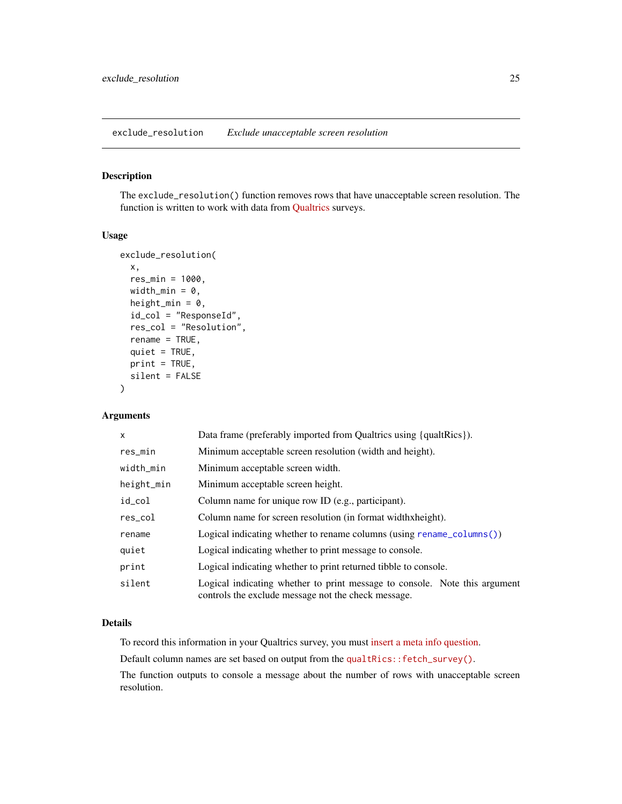<span id="page-24-1"></span><span id="page-24-0"></span>exclude\_resolution *Exclude unacceptable screen resolution*

#### Description

The exclude\_resolution() function removes rows that have unacceptable screen resolution. The function is written to work with data from [Qualtrics](https://www.qualtrics.com/) surveys.

#### Usage

```
exclude_resolution(
  x,
  res_min = 1000,
 width_min = 0,
 height_min = 0,
  id_col = "ResponseId",
  res_col = "Resolution",
  rename = TRUE,
  quiet = TRUE,
 print = TRUE,silent = FALSE
\lambda
```
#### Arguments

| $\mathsf{x}$ | Data frame (preferably imported from Qualtrics using {qualtrics}).                                                                |
|--------------|-----------------------------------------------------------------------------------------------------------------------------------|
| res_min      | Minimum acceptable screen resolution (width and height).                                                                          |
| width_min    | Minimum acceptable screen width.                                                                                                  |
| height_min   | Minimum acceptable screen height.                                                                                                 |
| id_col       | Column name for unique row ID (e.g., participant).                                                                                |
| res_col      | Column name for screen resolution (in format width xheight).                                                                      |
| rename       | Logical indicating whether to rename columns (using rename $\text{column}()$ )                                                    |
| quiet        | Logical indicating whether to print message to console.                                                                           |
| print        | Logical indicating whether to print returned tibble to console.                                                                   |
| silent       | Logical indicating whether to print message to console. Note this argument<br>controls the exclude message not the check message. |

# Details

To record this information in your Qualtrics survey, you must [insert a meta info question.](https://www.qualtrics.com/support/survey-platform/survey-module/editing-questions/question-types-guide/advanced/meta-info-question/)

Default column names are set based on output from the [qualtRics::fetch\\_survey\(\)](https://docs.ropensci.org/qualtRics/reference/fetch_survey.html).

The function outputs to console a message about the number of rows with unacceptable screen resolution.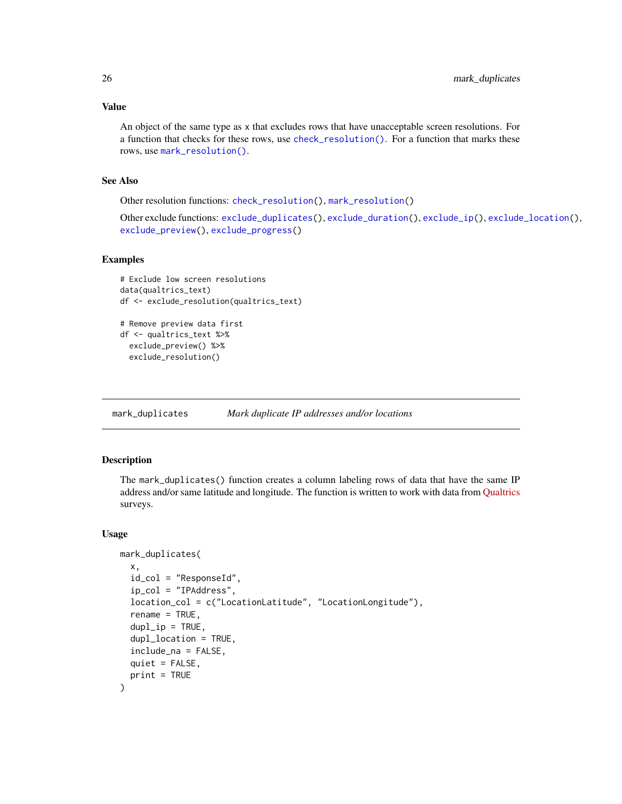## Value

An object of the same type as x that excludes rows that have unacceptable screen resolutions. For a function that checks for these rows, use [check\\_resolution\(\)](#page-12-1). For a function that marks these rows, use [mark\\_resolution\(\)](#page-34-1).

# See Also

Other resolution functions: [check\\_resolution\(](#page-12-1)), [mark\\_resolution\(](#page-34-1))

Other exclude functions: [exclude\\_duplicates\(](#page-14-1)), [exclude\\_duration\(](#page-16-1)), [exclude\\_ip\(](#page-17-1)), [exclude\\_location\(](#page-19-1)), [exclude\\_preview\(](#page-21-1)), [exclude\\_progress\(](#page-22-1))

#### Examples

```
# Exclude low screen resolutions
data(qualtrics_text)
df <- exclude_resolution(qualtrics_text)
# Remove preview data first
df <- qualtrics_text %>%
 exclude_preview() %>%
 exclude_resolution()
```
<span id="page-25-1"></span>mark\_duplicates *Mark duplicate IP addresses and/or locations*

#### Description

The mark\_duplicates() function creates a column labeling rows of data that have the same IP address and/or same latitude and longitude. The function is written to work with data from [Qualtrics](https://www.qualtrics.com/) surveys.

#### Usage

```
mark_duplicates(
  x,
  id_col = "ResponseId",
  ip_col = "IPAddress",
  location_col = c("LocationLatitude", "LocationLongitude"),
  rename = TRUE,
  dupl<sub>_ip</sub> = TRUE,
  dupl_location = TRUE,
  include_na = FALSE,
  quiet = FALSE,print = TRUE
)
```
<span id="page-25-0"></span>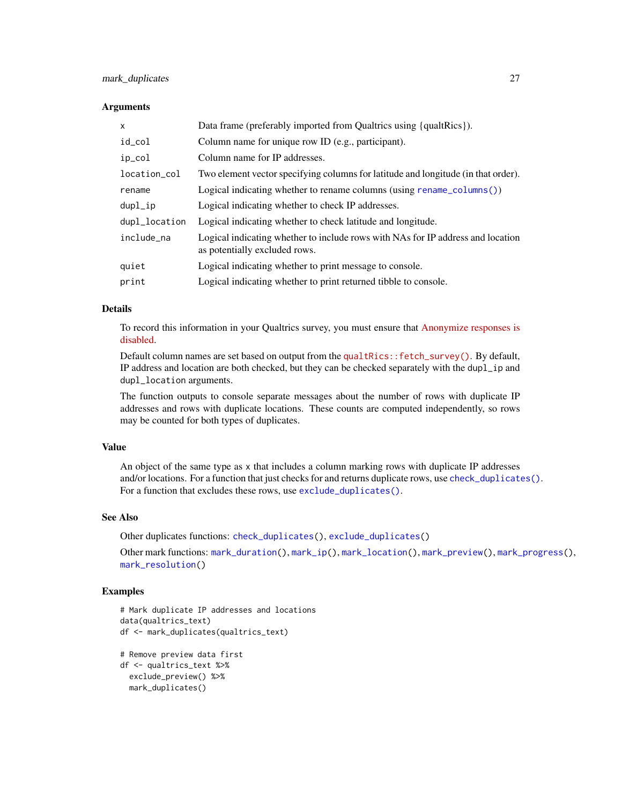# <span id="page-26-0"></span>mark\_duplicates 27

#### **Arguments**

| x             | Data frame (preferably imported from Qualtrics using {qualtrics}).                                               |
|---------------|------------------------------------------------------------------------------------------------------------------|
| id_col        | Column name for unique row ID (e.g., participant).                                                               |
| ip_col        | Column name for IP addresses.                                                                                    |
| location_col  | Two element vector specifying columns for latitude and longitude (in that order).                                |
| rename        | Logical indicating whether to rename columns (using rename_columns())                                            |
| dupl_ip       | Logical indicating whether to check IP addresses.                                                                |
| dupl_location | Logical indicating whether to check latitude and longitude.                                                      |
| include_na    | Logical indicating whether to include rows with NAs for IP address and location<br>as potentially excluded rows. |
| quiet         | Logical indicating whether to print message to console.                                                          |
| print         | Logical indicating whether to print returned tibble to console.                                                  |

# Details

To record this information in your Qualtrics survey, you must ensure that [Anonymize responses is](https://www.qualtrics.com/support/survey-platform/survey-module/survey-options/survey-protection/#AnonymizingResponses) [disabled.](https://www.qualtrics.com/support/survey-platform/survey-module/survey-options/survey-protection/#AnonymizingResponses)

Default column names are set based on output from the [qualtRics::fetch\\_survey\(\)](https://docs.ropensci.org/qualtRics/reference/fetch_survey.html). By default, IP address and location are both checked, but they can be checked separately with the dupl\_ip and dupl\_location arguments.

The function outputs to console separate messages about the number of rows with duplicate IP addresses and rows with duplicate locations. These counts are computed independently, so rows may be counted for both types of duplicates.

# Value

An object of the same type as x that includes a column marking rows with duplicate IP addresses and/or locations. For a function that just checks for and returns duplicate rows, use [check\\_duplicates\(\)](#page-1-1). For a function that excludes these rows, use [exclude\\_duplicates\(\)](#page-14-1).

## See Also

Other duplicates functions: [check\\_duplicates\(](#page-1-1)), [exclude\\_duplicates\(](#page-14-1))

Other mark functions: [mark\\_duration\(](#page-27-1)), [mark\\_ip\(](#page-28-1)), [mark\\_location\(](#page-30-1)), [mark\\_preview\(](#page-31-1)), [mark\\_progress\(](#page-33-1)), [mark\\_resolution\(](#page-34-1))

```
# Mark duplicate IP addresses and locations
data(qualtrics_text)
df <- mark_duplicates(qualtrics_text)
# Remove preview data first
```

```
df <- qualtrics_text %>%
 exclude_preview() %>%
 mark_duplicates()
```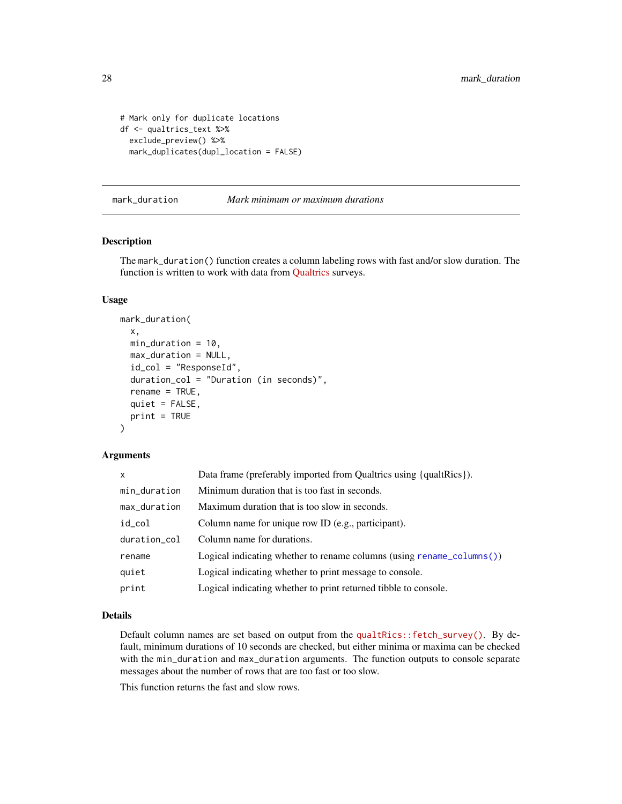```
# Mark only for duplicate locations
df <- qualtrics_text %>%
  exclude_preview() %>%
  mark_duplicates(dupl_location = FALSE)
```
<span id="page-27-1"></span>

mark\_duration *Mark minimum or maximum durations*

#### Description

The mark\_duration() function creates a column labeling rows with fast and/or slow duration. The function is written to work with data from [Qualtrics](https://www.qualtrics.com/) surveys.

#### Usage

```
mark_duration(
  x,
  min_duration = 10,
 max_duration = NULL,
  id_col = "ResponseId",
  duration_col = "Duration (in seconds)",
  rename = TRUE,
  quiet = FALSE,print = TRUE
)
```
#### **Arguments**

| X            | Data frame (preferably imported from Qualtrics using {qualtrics}).    |
|--------------|-----------------------------------------------------------------------|
| min_duration | Minimum duration that is too fast in seconds.                         |
| max_duration | Maximum duration that is too slow in seconds.                         |
| id_col       | Column name for unique row ID (e.g., participant).                    |
| duration_col | Column name for durations.                                            |
| rename       | Logical indicating whether to rename columns (using rename_columns()) |
| quiet        | Logical indicating whether to print message to console.               |
| print        | Logical indicating whether to print returned tibble to console.       |

#### Details

Default column names are set based on output from the [qualtRics::fetch\\_survey\(\)](https://docs.ropensci.org/qualtRics/reference/fetch_survey.html). By default, minimum durations of 10 seconds are checked, but either minima or maxima can be checked with the min\_duration and max\_duration arguments. The function outputs to console separate messages about the number of rows that are too fast or too slow.

This function returns the fast and slow rows.

<span id="page-27-0"></span>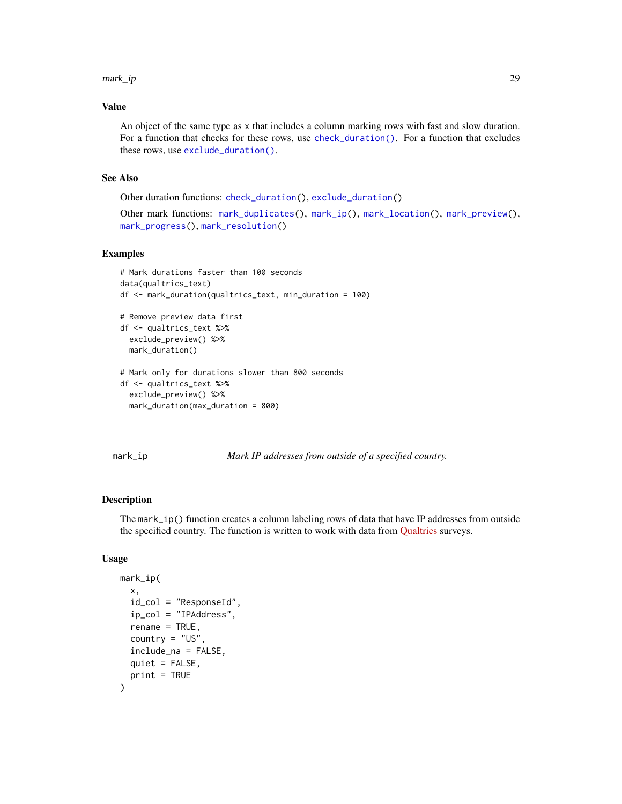#### <span id="page-28-0"></span>mark\_ip 29

# Value

An object of the same type as x that includes a column marking rows with fast and slow duration. For a function that checks for these rows, use [check\\_duration\(\)](#page-3-1). For a function that excludes these rows, use [exclude\\_duration\(\)](#page-16-1).

# See Also

Other duration functions: [check\\_duration\(](#page-3-1)), [exclude\\_duration\(](#page-16-1))

```
Other mark functions: mark_duplicates(), mark_ip(), mark_location(), mark_preview(),
mark_progress(), mark_resolution()
```
## Examples

```
# Mark durations faster than 100 seconds
data(qualtrics_text)
df <- mark_duration(qualtrics_text, min_duration = 100)
# Remove preview data first
df <- qualtrics_text %>%
 exclude_preview() %>%
 mark_duration()
# Mark only for durations slower than 800 seconds
df <- qualtrics_text %>%
 exclude_preview() %>%
 mark_duration(max_duration = 800)
```
<span id="page-28-1"></span>

mark\_ip *Mark IP addresses from outside of a specified country.*

#### Description

The mark\_ip() function creates a column labeling rows of data that have IP addresses from outside the specified country. The function is written to work with data from [Qualtrics](https://www.qualtrics.com/) surveys.

#### Usage

```
mark_ip(
 x,
  id_col = "ResponseId",
  ip_col = "IPAddress",
  rename = TRUE,
  country = "US",include_na = FALSE,
  quiet = FALSE,
 print = TRUE
)
```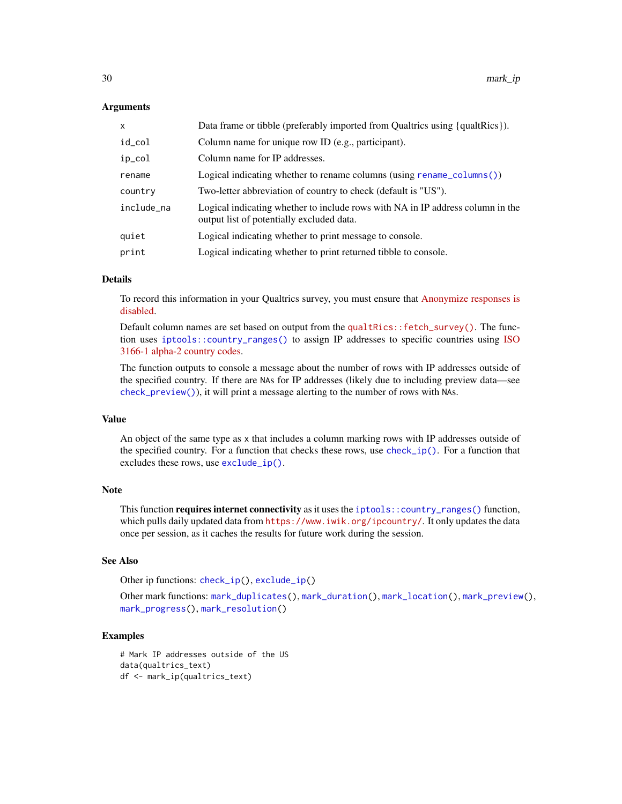#### Arguments

| Data frame or tibble (preferably imported from Qualtrics using {qualtrics}).   |
|--------------------------------------------------------------------------------|
|                                                                                |
|                                                                                |
| Logical indicating whether to rename columns (using rename_columns())          |
|                                                                                |
| Logical indicating whether to include rows with NA in IP address column in the |
|                                                                                |
|                                                                                |
|                                                                                |

# Details

To record this information in your Qualtrics survey, you must ensure that [Anonymize responses is](https://www.qualtrics.com/support/survey-platform/survey-module/survey-options/survey-protection/#AnonymizingResponses) [disabled.](https://www.qualtrics.com/support/survey-platform/survey-module/survey-options/survey-protection/#AnonymizingResponses)

Default column names are set based on output from the [qualtRics::fetch\\_survey\(\)](https://docs.ropensci.org/qualtRics/reference/fetch_survey.html). The function uses [iptools::country\\_ranges\(\)](#page-0-0) to assign IP addresses to specific countries using [ISO](https://en.wikipedia.org/wiki/ISO_3166-1_alpha-2) [3166-1 alpha-2 country codes.](https://en.wikipedia.org/wiki/ISO_3166-1_alpha-2)

The function outputs to console a message about the number of rows with IP addresses outside of the specified country. If there are NAs for IP addresses (likely due to including preview data—see [check\\_preview\(\)](#page-8-1)), it will print a message alerting to the number of rows with NAs.

#### Value

An object of the same type as x that includes a column marking rows with IP addresses outside of the specified country. For a function that checks these rows, use  $\text{check\_ip}()$ . For a function that excludes these rows, use [exclude\\_ip\(\)](#page-17-1).

#### Note

This function **requires internet connectivity** as it uses the [iptools::country\\_ranges\(\)](#page-0-0) function, which pulls daily updated data from <https://www.iwik.org/ipcountry/>. It only updates the data once per session, as it caches the results for future work during the session.

#### See Also

Other ip functions: [check\\_ip\(](#page-5-1)), [exclude\\_ip\(](#page-17-1))

```
Other mark functions: mark_duplicates(), mark_duration(), mark_location(), mark_preview(),
mark_progress(), mark_resolution()
```

```
# Mark IP addresses outside of the US
data(qualtrics_text)
df <- mark_ip(qualtrics_text)
```
<span id="page-29-0"></span>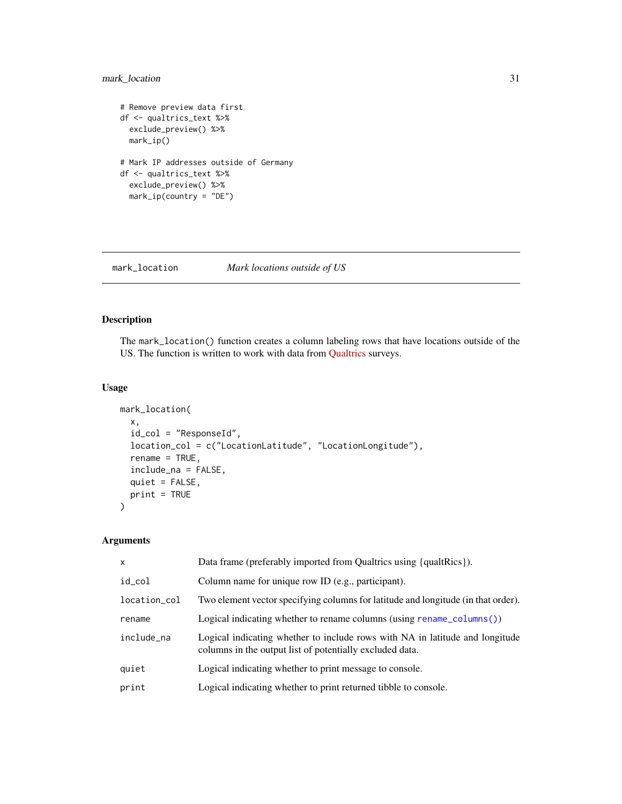# <span id="page-30-0"></span>mark\_location 31

```
# Remove preview data first
df <- qualtrics_text %>%
 exclude_preview() %>%
 mark_ip()
# Mark IP addresses outside of Germany
df <- qualtrics_text %>%
  exclude_preview() %>%
  mark_ip(country = "DE")
```
<span id="page-30-1"></span>mark\_location *Mark locations outside of US*

# Description

The mark\_location() function creates a column labeling rows that have locations outside of the US. The function is written to work with data from [Qualtrics](https://www.qualtrics.com/) surveys.

#### Usage

```
mark_location(
  x,
  id_col = "ResponseId",
  location_col = c("LocationLatitude", "LocationLongitude"),
  rename = TRUE,
  include_na = FALSE,
  quiet = FALSE,
 print = TRUE
\mathcal{L}
```
#### Arguments

| X            | Data frame (preferably imported from Qualtrics using {qualtrics}).                                                                       |
|--------------|------------------------------------------------------------------------------------------------------------------------------------------|
| id_col       | Column name for unique row ID (e.g., participant).                                                                                       |
| location_col | Two element vector specifying columns for latitude and longitude (in that order).                                                        |
| rename       | Logical indicating whether to rename columns (using rename_columns())                                                                    |
| include_na   | Logical indicating whether to include rows with NA in latitude and longitude<br>columns in the output list of potentially excluded data. |
| quiet        | Logical indicating whether to print message to console.                                                                                  |
| print        | Logical indicating whether to print returned tibble to console.                                                                          |
|              |                                                                                                                                          |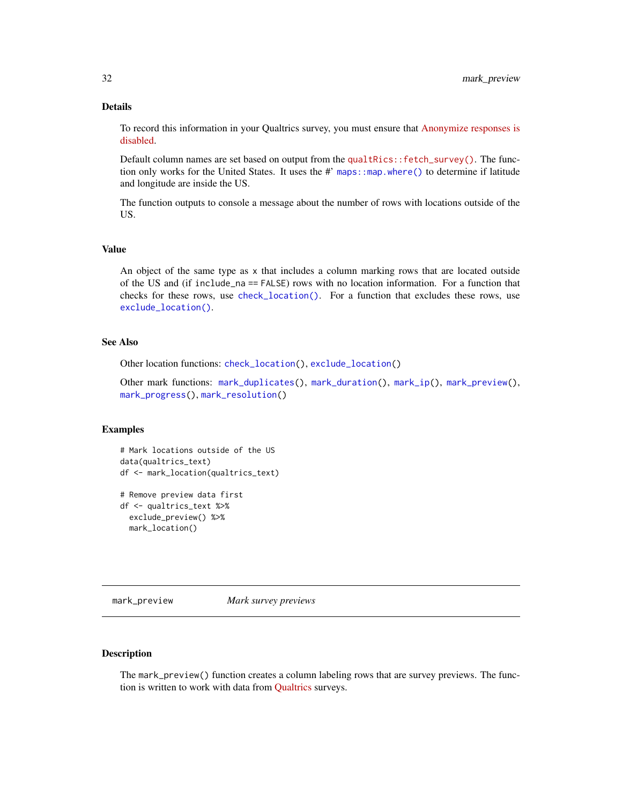## <span id="page-31-0"></span>Details

To record this information in your Qualtrics survey, you must ensure that [Anonymize responses is](https://www.qualtrics.com/support/survey-platform/survey-module/survey-options/survey-protection/#AnonymizingResponses) [disabled.](https://www.qualtrics.com/support/survey-platform/survey-module/survey-options/survey-protection/#AnonymizingResponses)

Default column names are set based on output from the [qualtRics::fetch\\_survey\(\)](https://docs.ropensci.org/qualtRics/reference/fetch_survey.html). The function only works for the United States. It uses the #' maps: : map.where() to determine if latitude and longitude are inside the US.

The function outputs to console a message about the number of rows with locations outside of the US.

#### Value

An object of the same type as x that includes a column marking rows that are located outside of the US and (if include\_na == FALSE) rows with no location information. For a function that checks for these rows, use [check\\_location\(\)](#page-7-1). For a function that excludes these rows, use [exclude\\_location\(\)](#page-19-1).

#### See Also

Other location functions: [check\\_location\(](#page-7-1)), [exclude\\_location\(](#page-19-1))

Other mark functions: [mark\\_duplicates\(](#page-25-1)), [mark\\_duration\(](#page-27-1)), [mark\\_ip\(](#page-28-1)), [mark\\_preview\(](#page-31-1)), [mark\\_progress\(](#page-33-1)), [mark\\_resolution\(](#page-34-1))

# Examples

```
# Mark locations outside of the US
data(qualtrics_text)
df <- mark_location(qualtrics_text)
```

```
# Remove preview data first
df <- qualtrics_text %>%
 exclude_preview() %>%
 mark_location()
```
<span id="page-31-1"></span>mark\_preview *Mark survey previews*

# **Description**

The mark\_preview() function creates a column labeling rows that are survey previews. The function is written to work with data from [Qualtrics](https://www.qualtrics.com/) surveys.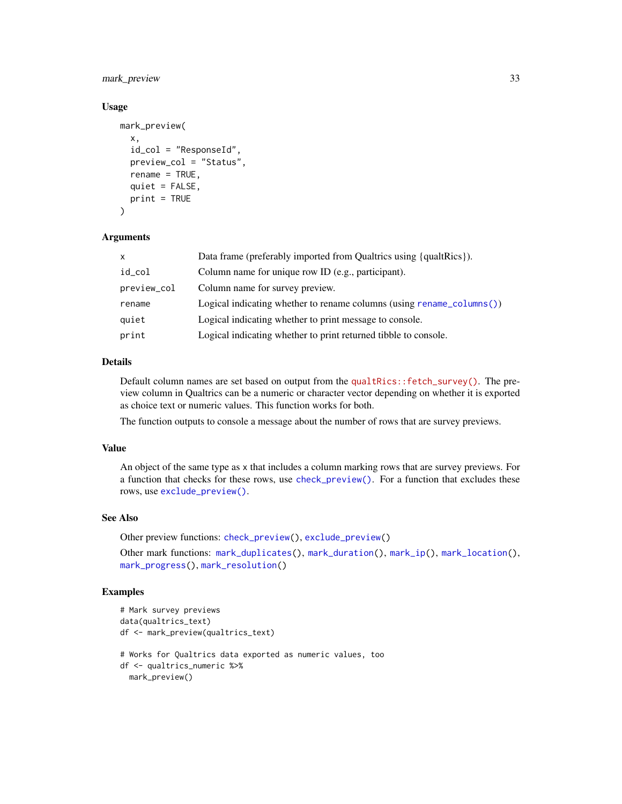<span id="page-32-0"></span>mark\_preview 33

#### Usage

```
mark_preview(
  x,
  id_col = "ResponseId",
  preview_col = "Status",
  rename = TRUE,
  quiet = FALSE,
  print = TRUE
\lambda
```
#### Arguments

| $\mathsf{x}$ | Data frame (preferably imported from Qualtrics using {qualtrics}).            |
|--------------|-------------------------------------------------------------------------------|
| id_col       | Column name for unique row ID (e.g., participant).                            |
| preview_col  | Column name for survey preview.                                               |
| rename       | Logical indicating whether to rename columns (using rename $\text{column}($ ) |
| quiet        | Logical indicating whether to print message to console.                       |
| print        | Logical indicating whether to print returned tibble to console.               |

# Details

Default column names are set based on output from the [qualtRics::fetch\\_survey\(\)](https://docs.ropensci.org/qualtRics/reference/fetch_survey.html). The preview column in Qualtrics can be a numeric or character vector depending on whether it is exported as choice text or numeric values. This function works for both.

The function outputs to console a message about the number of rows that are survey previews.

# Value

An object of the same type as x that includes a column marking rows that are survey previews. For a function that checks for these rows, use [check\\_preview\(\)](#page-8-1). For a function that excludes these rows, use [exclude\\_preview\(\)](#page-21-1).

# See Also

Other preview functions: [check\\_preview\(](#page-8-1)), [exclude\\_preview\(](#page-21-1))

Other mark functions: [mark\\_duplicates\(](#page-25-1)), [mark\\_duration\(](#page-27-1)), [mark\\_ip\(](#page-28-1)), [mark\\_location\(](#page-30-1)), [mark\\_progress\(](#page-33-1)), [mark\\_resolution\(](#page-34-1))

```
# Mark survey previews
data(qualtrics_text)
df <- mark_preview(qualtrics_text)
# Works for Qualtrics data exported as numeric values, too
df <- qualtrics_numeric %>%
 mark_preview()
```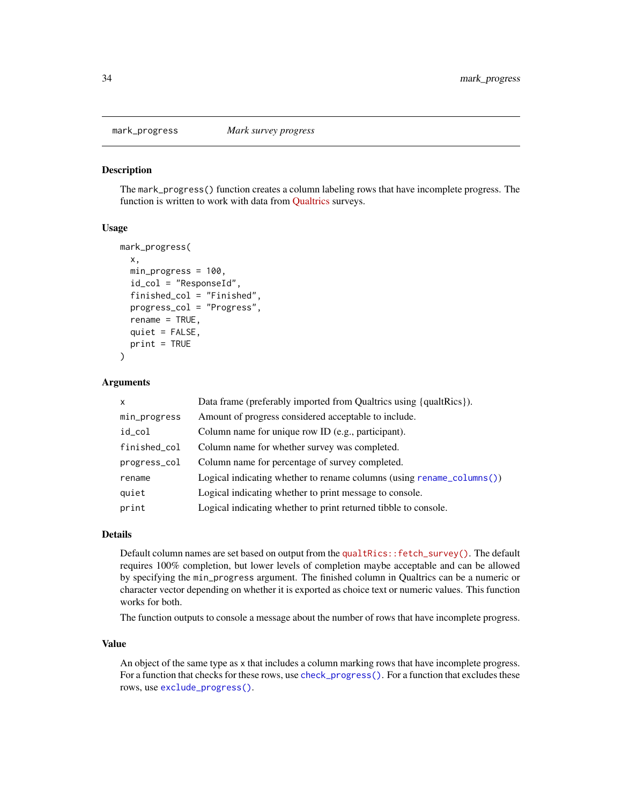<span id="page-33-1"></span><span id="page-33-0"></span>

The mark\_progress() function creates a column labeling rows that have incomplete progress. The function is written to work with data from [Qualtrics](https://www.qualtrics.com/) surveys.

#### Usage

```
mark_progress(
  x,
  min_progress = 100,
  id_col = "ResponseId",
  finished_col = "Finished",
  progress_col = "Progress",
  rename = TRUE,
  quiet = FALSE,
  print = TRUE
\lambda
```
#### Arguments

| $\mathsf{x}$ | Data frame (preferably imported from Qualtrics using {qualtrics}).    |
|--------------|-----------------------------------------------------------------------|
| min_progress | Amount of progress considered acceptable to include.                  |
| id_col       | Column name for unique row ID (e.g., participant).                    |
| finished_col | Column name for whether survey was completed.                         |
| progress_col | Column name for percentage of survey completed.                       |
| rename       | Logical indicating whether to rename columns (using rename_columns()) |
| quiet        | Logical indicating whether to print message to console.               |
| print        | Logical indicating whether to print returned tibble to console.       |

#### Details

Default column names are set based on output from the [qualtRics::fetch\\_survey\(\)](https://docs.ropensci.org/qualtRics/reference/fetch_survey.html). The default requires 100% completion, but lower levels of completion maybe acceptable and can be allowed by specifying the min\_progress argument. The finished column in Qualtrics can be a numeric or character vector depending on whether it is exported as choice text or numeric values. This function works for both.

The function outputs to console a message about the number of rows that have incomplete progress.

#### Value

An object of the same type as x that includes a column marking rows that have incomplete progress. For a function that checks for these rows, use [check\\_progress\(\)](#page-10-1). For a function that excludes these rows, use [exclude\\_progress\(\)](#page-22-1).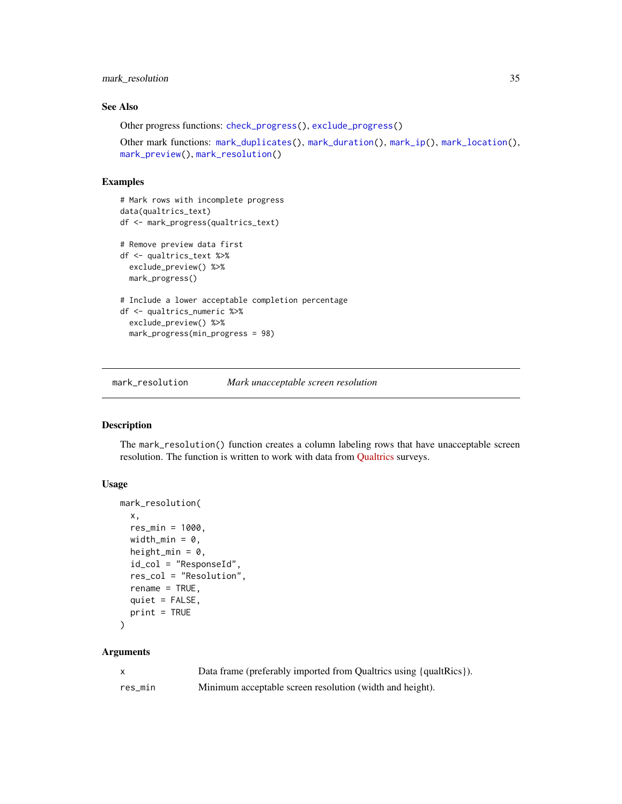# <span id="page-34-0"></span>mark\_resolution 35

# See Also

```
Other progress functions: check_progress(), exclude_progress()
```

```
Other mark functions: mark_duplicates(), mark_duration(), mark_ip(), mark_location(),
mark_preview(), mark_resolution()
```
#### Examples

```
# Mark rows with incomplete progress
data(qualtrics_text)
df <- mark_progress(qualtrics_text)
# Remove preview data first
df <- qualtrics_text %>%
  exclude_preview() %>%
  mark_progress()
# Include a lower acceptable completion percentage
df <- qualtrics_numeric %>%
  exclude_preview() %>%
  mark_progress(min_progress = 98)
```
<span id="page-34-1"></span>mark\_resolution *Mark unacceptable screen resolution*

# Description

The mark\_resolution() function creates a column labeling rows that have unacceptable screen resolution. The function is written to work with data from [Qualtrics](https://www.qualtrics.com/) surveys.

#### Usage

```
mark_resolution(
 x,
 res_min = 1000,
 width_min = 0,
 height_min = 0,
  id_col = "ResponseId",
  res_col = "Resolution",
  rename = TRUE,
 quiet = FALSE,print = TRUE)
```
# Arguments

|         | Data frame (preferably imported from Qualtrics using {qualtrics}). |
|---------|--------------------------------------------------------------------|
| res min | Minimum acceptable screen resolution (width and height).           |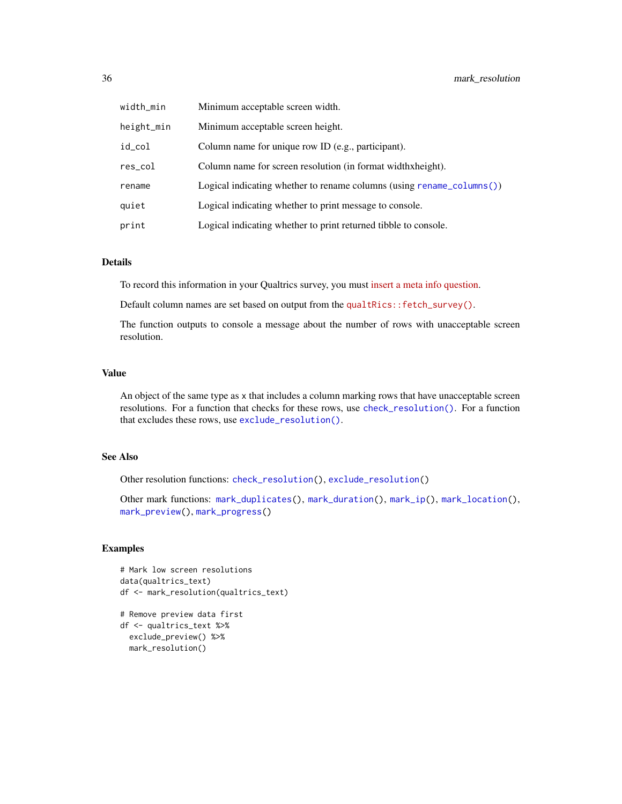<span id="page-35-0"></span>

| width_min  | Minimum acceptable screen width.                                              |
|------------|-------------------------------------------------------------------------------|
| height_min | Minimum acceptable screen height.                                             |
| id_col     | Column name for unique row ID (e.g., participant).                            |
| res_col    | Column name for screen resolution (in format widthxheight).                   |
| rename     | Logical indicating whether to rename columns (using rename $\text{column}($ ) |
| quiet      | Logical indicating whether to print message to console.                       |
| print      | Logical indicating whether to print returned tibble to console.               |

#### Details

To record this information in your Qualtrics survey, you must [insert a meta info question.](https://www.qualtrics.com/support/survey-platform/survey-module/editing-questions/question-types-guide/advanced/meta-info-question/)

Default column names are set based on output from the qualtRics:: fetch\_survey().

The function outputs to console a message about the number of rows with unacceptable screen resolution.

## Value

An object of the same type as x that includes a column marking rows that have unacceptable screen resolutions. For a function that checks for these rows, use [check\\_resolution\(\)](#page-12-1). For a function that excludes these rows, use [exclude\\_resolution\(\)](#page-24-1).

# See Also

Other resolution functions: [check\\_resolution\(](#page-12-1)), [exclude\\_resolution\(](#page-24-1))

Other mark functions: [mark\\_duplicates\(](#page-25-1)), [mark\\_duration\(](#page-27-1)), [mark\\_ip\(](#page-28-1)), [mark\\_location\(](#page-30-1)), [mark\\_preview\(](#page-31-1)), [mark\\_progress\(](#page-33-1))

```
# Mark low screen resolutions
data(qualtrics_text)
df <- mark_resolution(qualtrics_text)
# Remove preview data first
df <- qualtrics_text %>%
 exclude_preview() %>%
 mark_resolution()
```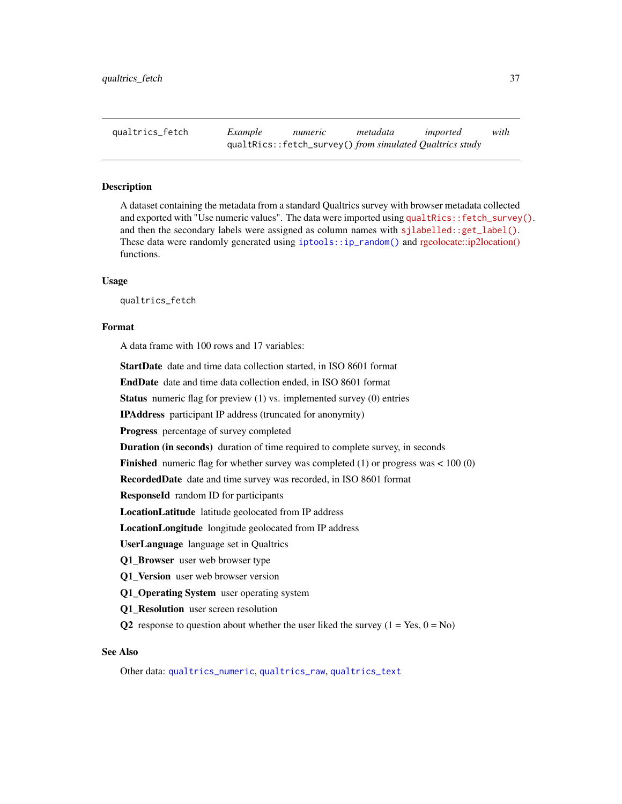<span id="page-36-1"></span><span id="page-36-0"></span>qualtrics\_fetch *Example numeric metadata imported with* qualtRics::fetch\_survey() *from simulated Qualtrics study*

#### Description

A dataset containing the metadata from a standard Qualtrics survey with browser metadata collected and exported with "Use numeric values". The data were imported using [qualtRics::fetch\\_survey\(\)](https://docs.ropensci.org/qualtRics/reference/fetch_survey.html). and then the secondary labels were assigned as column names with [sjlabelled::get\\_label\(\)](https://strengejacke.github.io/sjlabelled/reference/get_label.html). These data were randomly generated using [iptools::ip\\_random\(\)](#page-0-0) and [rgeolocate::ip2location\(\)](https://cran.r-project.org/package=rgeolocate) functions.

#### Usage

qualtrics\_fetch

#### Format

A data frame with 100 rows and 17 variables:

StartDate date and time data collection started, in ISO 8601 format

EndDate date and time data collection ended, in ISO 8601 format

Status numeric flag for preview (1) vs. implemented survey (0) entries

IPAddress participant IP address (truncated for anonymity)

Progress percentage of survey completed

Duration (in seconds) duration of time required to complete survey, in seconds

**Finished** numeric flag for whether survey was completed  $(1)$  or progress was < 100  $(0)$ 

RecordedDate date and time survey was recorded, in ISO 8601 format

ResponseId random ID for participants

LocationLatitude latitude geolocated from IP address

LocationLongitude longitude geolocated from IP address

UserLanguage language set in Qualtrics

Q1 Browser user web browser type

Q1\_Version user web browser version

Q1 Operating System user operating system

Q1\_Resolution user screen resolution

Q2 response to question about whether the user liked the survey  $(1 = Yes, 0 = No)$ 

# See Also

Other data: [qualtrics\\_numeric](#page-37-1), [qualtrics\\_raw](#page-38-1), [qualtrics\\_text](#page-39-1)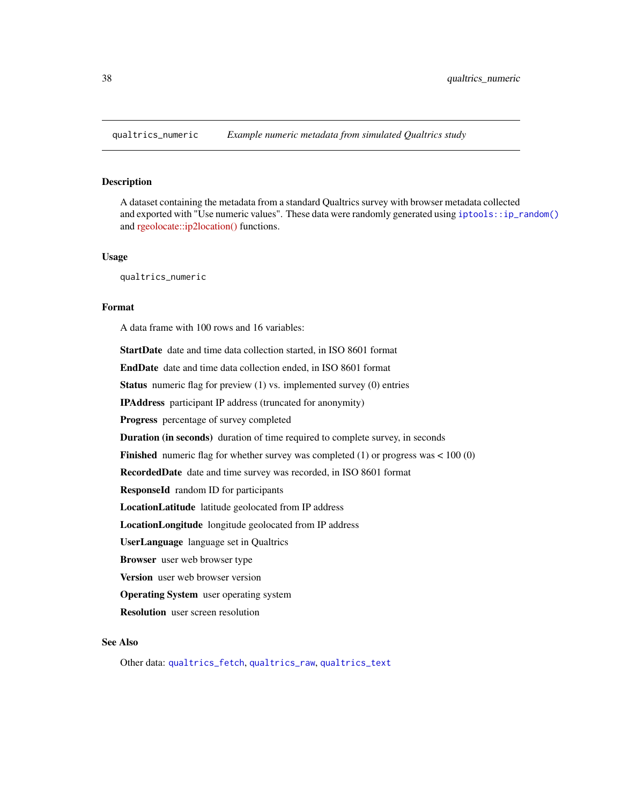<span id="page-37-1"></span><span id="page-37-0"></span>

A dataset containing the metadata from a standard Qualtrics survey with browser metadata collected and exported with "Use numeric values". These data were randomly generated using [iptools::ip\\_random\(\)](#page-0-0) and [rgeolocate::ip2location\(\)](https://cran.r-project.org/package=rgeolocate) functions.

#### Usage

qualtrics\_numeric

# Format

A data frame with 100 rows and 16 variables:

StartDate date and time data collection started, in ISO 8601 format EndDate date and time data collection ended, in ISO 8601 format Status numeric flag for preview (1) vs. implemented survey (0) entries IPAddress participant IP address (truncated for anonymity) Progress percentage of survey completed Duration (in seconds) duration of time required to complete survey, in seconds **Finished** numeric flag for whether survey was completed  $(1)$  or progress was  $< 100(0)$ RecordedDate date and time survey was recorded, in ISO 8601 format ResponseId random ID for participants LocationLatitude latitude geolocated from IP address LocationLongitude longitude geolocated from IP address UserLanguage language set in Qualtrics Browser user web browser type Version user web browser version Operating System user operating system Resolution user screen resolution

# See Also

Other data: [qualtrics\\_fetch](#page-36-1), [qualtrics\\_raw](#page-38-1), [qualtrics\\_text](#page-39-1)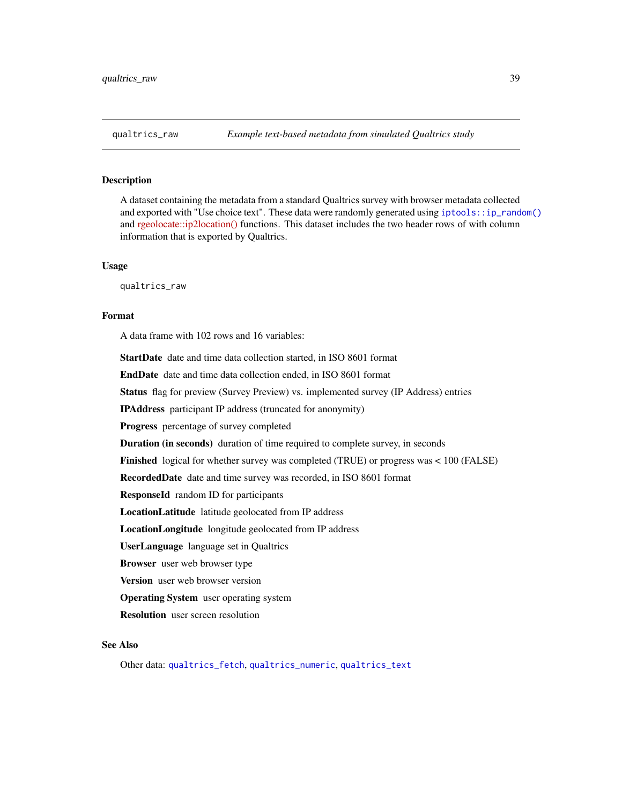<span id="page-38-1"></span><span id="page-38-0"></span>A dataset containing the metadata from a standard Qualtrics survey with browser metadata collected and exported with "Use choice text". These data were randomly generated using [iptools::ip\\_random\(\)](#page-0-0) and [rgeolocate::ip2location\(\)](https://cran.r-project.org/package=rgeolocate) functions. This dataset includes the two header rows of with column information that is exported by Qualtrics.

#### Usage

qualtrics\_raw

#### Format

A data frame with 102 rows and 16 variables:

StartDate date and time data collection started, in ISO 8601 format

EndDate date and time data collection ended, in ISO 8601 format

Status flag for preview (Survey Preview) vs. implemented survey (IP Address) entries

IPAddress participant IP address (truncated for anonymity)

Progress percentage of survey completed

Duration (in seconds) duration of time required to complete survey, in seconds

Finished logical for whether survey was completed (TRUE) or progress was < 100 (FALSE)

RecordedDate date and time survey was recorded, in ISO 8601 format

ResponseId random ID for participants

LocationLatitude latitude geolocated from IP address

LocationLongitude longitude geolocated from IP address

UserLanguage language set in Qualtrics

Browser user web browser type

Version user web browser version

Operating System user operating system

Resolution user screen resolution

# See Also

Other data: [qualtrics\\_fetch](#page-36-1), [qualtrics\\_numeric](#page-37-1), [qualtrics\\_text](#page-39-1)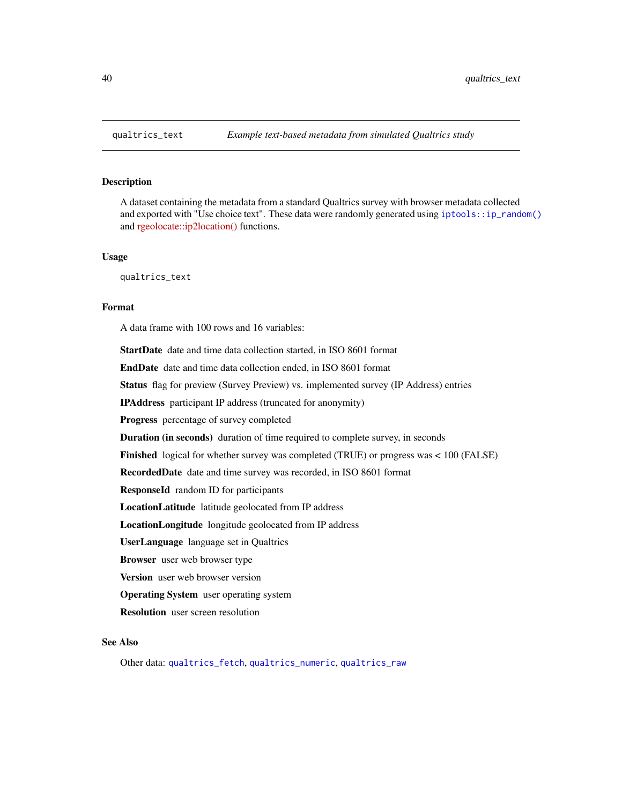<span id="page-39-1"></span><span id="page-39-0"></span>

A dataset containing the metadata from a standard Qualtrics survey with browser metadata collected and exported with "Use choice text". These data were randomly generated using [iptools::ip\\_random\(\)](#page-0-0) and [rgeolocate::ip2location\(\)](https://cran.r-project.org/package=rgeolocate) functions.

#### Usage

qualtrics\_text

# Format

A data frame with 100 rows and 16 variables:

StartDate date and time data collection started, in ISO 8601 format EndDate date and time data collection ended, in ISO 8601 format

Status flag for preview (Survey Preview) vs. implemented survey (IP Address) entries

IPAddress participant IP address (truncated for anonymity)

Progress percentage of survey completed

Duration (in seconds) duration of time required to complete survey, in seconds

Finished logical for whether survey was completed (TRUE) or progress was < 100 (FALSE)

RecordedDate date and time survey was recorded, in ISO 8601 format

ResponseId random ID for participants

LocationLatitude latitude geolocated from IP address

LocationLongitude longitude geolocated from IP address

UserLanguage language set in Qualtrics

Browser user web browser type

Version user web browser version

Operating System user operating system

Resolution user screen resolution

# See Also

Other data: [qualtrics\\_fetch](#page-36-1), [qualtrics\\_numeric](#page-37-1), [qualtrics\\_raw](#page-38-1)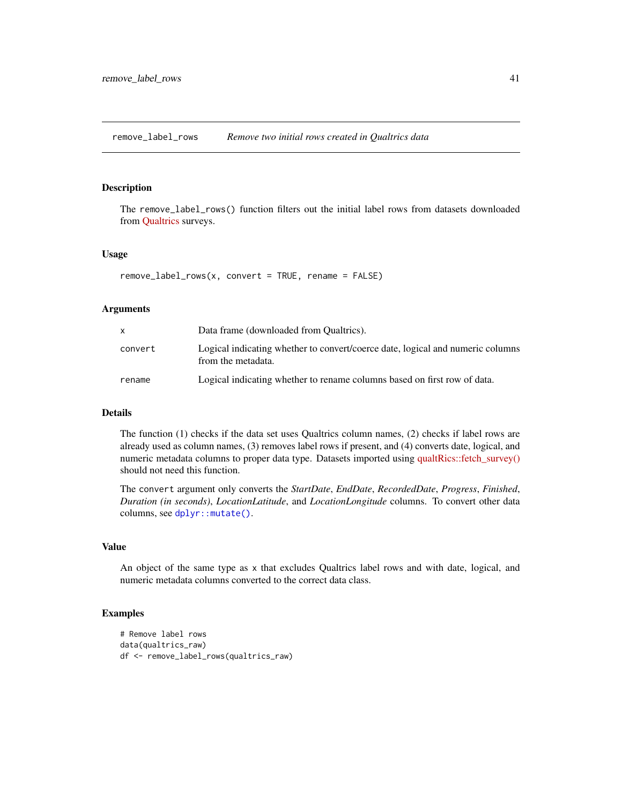<span id="page-40-0"></span>remove\_label\_rows *Remove two initial rows created in Qualtrics data*

#### Description

The remove\_label\_rows() function filters out the initial label rows from datasets downloaded from [Qualtrics](https://www.qualtrics.com/) surveys.

#### Usage

```
remove_labels_{rows}(x, convert = TRUE, rename = FALSE)
```
# Arguments

|         | Data frame (downloaded from Qualtrics).                                                              |
|---------|------------------------------------------------------------------------------------------------------|
| convert | Logical indicating whether to convert/coerce date, logical and numeric columns<br>from the metadata. |
| rename  | Logical indicating whether to rename columns based on first row of data.                             |

# Details

The function (1) checks if the data set uses Qualtrics column names, (2) checks if label rows are already used as column names, (3) removes label rows if present, and (4) converts date, logical, and numeric metadata columns to proper data type. Datasets imported using [qualtRics::fetch\\_survey\(\)](https://docs.ropensci.org/qualtRics/reference/fetch_survey.html) should not need this function.

The convert argument only converts the *StartDate*, *EndDate*, *RecordedDate*, *Progress*, *Finished*, *Duration (in seconds)*, *LocationLatitude*, and *LocationLongitude* columns. To convert other data columns, see [dplyr::mutate\(\)](#page-0-0).

#### Value

An object of the same type as x that excludes Qualtrics label rows and with date, logical, and numeric metadata columns converted to the correct data class.

```
# Remove label rows
data(qualtrics_raw)
df <- remove_label_rows(qualtrics_raw)
```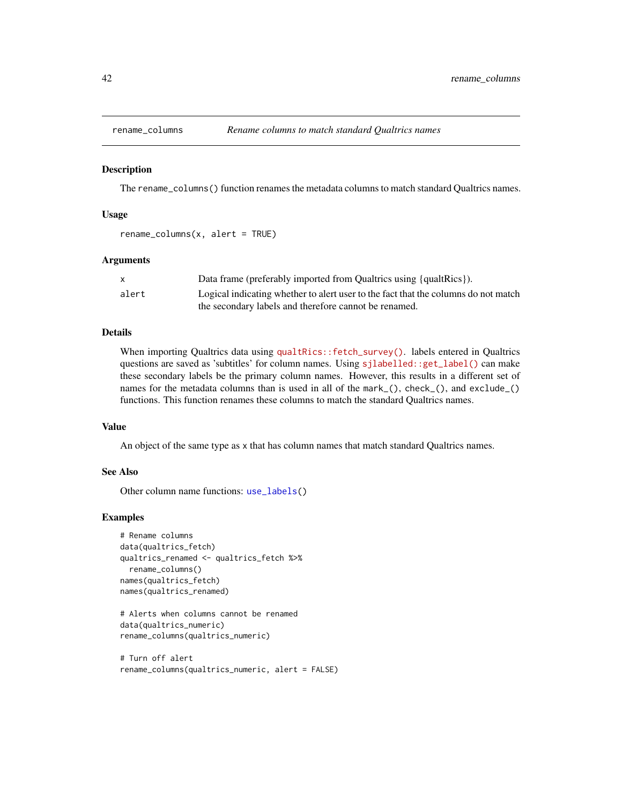<span id="page-41-1"></span><span id="page-41-0"></span>

The rename\_columns() function renames the metadata columns to match standard Qualtrics names.

#### Usage

```
rename_columns(x, alert = TRUE)
```
#### Arguments

|       | Data frame (preferably imported from Qualtrics using {qualtrics}).                 |
|-------|------------------------------------------------------------------------------------|
| alert | Logical indicating whether to alert user to the fact that the columns do not match |
|       | the secondary labels and therefore cannot be renamed.                              |

#### Details

When importing Qualtrics data using [qualtRics::fetch\\_survey\(\)](https://docs.ropensci.org/qualtRics/reference/fetch_survey.html). labels entered in Qualtrics questions are saved as 'subtitles' for column names. Using [sjlabelled::get\\_label\(\)](https://strengejacke.github.io/sjlabelled/reference/get_label.html) can make these secondary labels be the primary column names. However, this results in a different set of names for the metadata columns than is used in all of the mark<sub>-</sub>(), check<sub>-</sub>(), and exclude<sub>-</sub>() functions. This function renames these columns to match the standard Qualtrics names.

#### Value

An object of the same type as x that has column names that match standard Qualtrics names.

#### See Also

Other column name functions: [use\\_labels\(](#page-43-1))

```
# Rename columns
data(qualtrics_fetch)
qualtrics_renamed <- qualtrics_fetch %>%
 rename_columns()
names(qualtrics_fetch)
names(qualtrics_renamed)
```

```
# Alerts when columns cannot be renamed
data(qualtrics_numeric)
rename_columns(qualtrics_numeric)
```

```
# Turn off alert
rename_columns(qualtrics_numeric, alert = FALSE)
```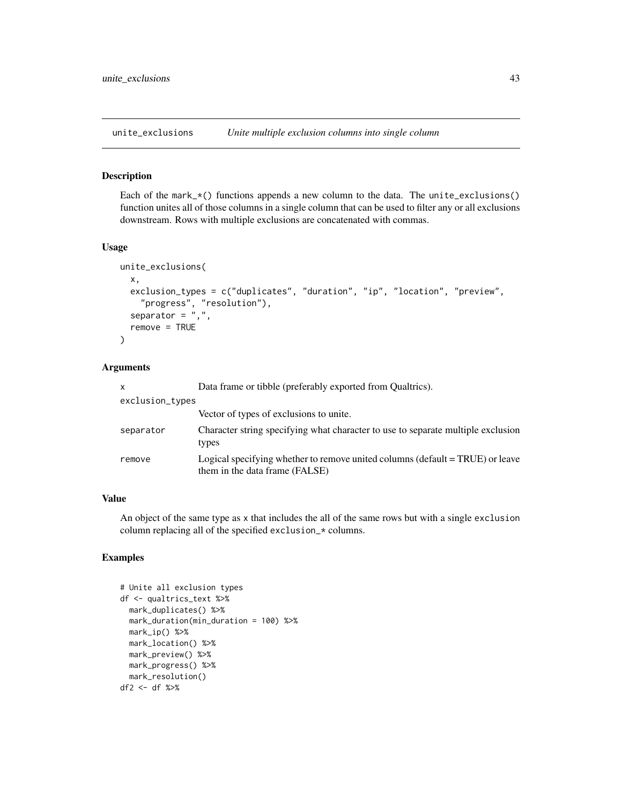<span id="page-42-0"></span>unite\_exclusions *Unite multiple exclusion columns into single column*

#### Description

Each of the mark\_ $*($ ) functions appends a new column to the data. The unite\_exclusions() function unites all of those columns in a single column that can be used to filter any or all exclusions downstream. Rows with multiple exclusions are concatenated with commas.

# Usage

```
unite_exclusions(
 x,
 exclusion_types = c("duplicates", "duration", "ip", "location", "preview",
    "progress", "resolution"),
  separator = ",",remove = TRUE)
```
# Arguments

| X               | Data frame or tibble (preferably exported from Qualtrics).                                                      |
|-----------------|-----------------------------------------------------------------------------------------------------------------|
| exclusion_types |                                                                                                                 |
|                 | Vector of types of exclusions to unite.                                                                         |
| separator       | Character string specifying what character to use to separate multiple exclusion<br>types                       |
| remove          | Logical specifying whether to remove united columns (default = TRUE) or leave<br>them in the data frame (FALSE) |

#### Value

An object of the same type as x that includes the all of the same rows but with a single exclusion column replacing all of the specified exclusion\_\* columns.

```
# Unite all exclusion types
df <- qualtrics_text %>%
 mark_duplicates() %>%
 mark_duration(min_duration = 100) %>%
 mark_ip() %>%
 mark_location() %>%
 mark_preview() %>%
 mark_progress() %>%
 mark_resolution()
df2 <- df %>%
```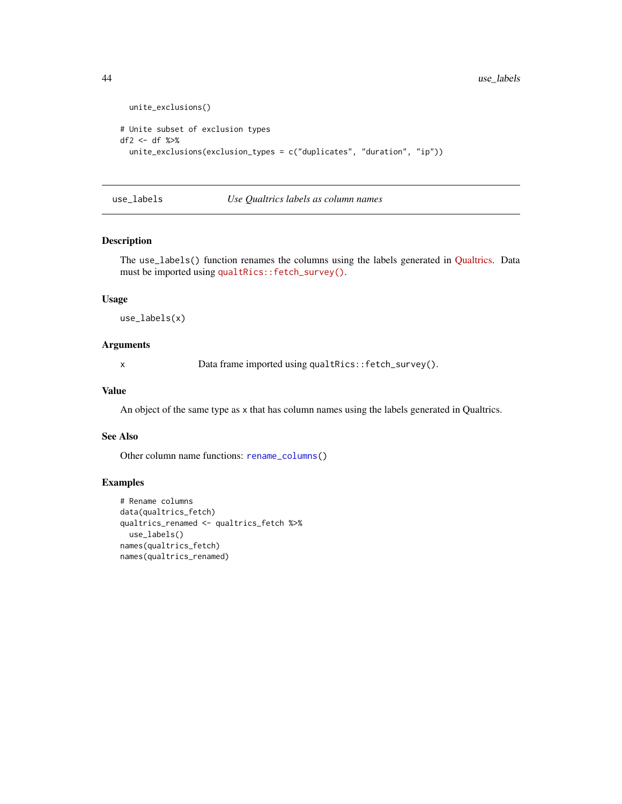```
unite_exclusions()
# Unite subset of exclusion types
df2 <- df %>%
  unite_exclusions(exclusion_types = c("duplicates", "duration", "ip"))
```

```
use_labels Use Qualtrics labels as column names
```
The use\_labels() function renames the columns using the labels generated in [Qualtrics.](https://www.qualtrics.com/) Data must be imported using [qualtRics::fetch\\_survey\(\)](https://docs.ropensci.org/qualtRics/reference/fetch_survey.html).

#### Usage

use\_labels(x)

#### Arguments

x Data frame imported using qualtRics::fetch\_survey().

#### Value

An object of the same type as x that has column names using the labels generated in Qualtrics.

#### See Also

Other column name functions: [rename\\_columns\(](#page-41-1))

```
# Rename columns
data(qualtrics_fetch)
qualtrics_renamed <- qualtrics_fetch %>%
  use_labels()
names(qualtrics_fetch)
names(qualtrics_renamed)
```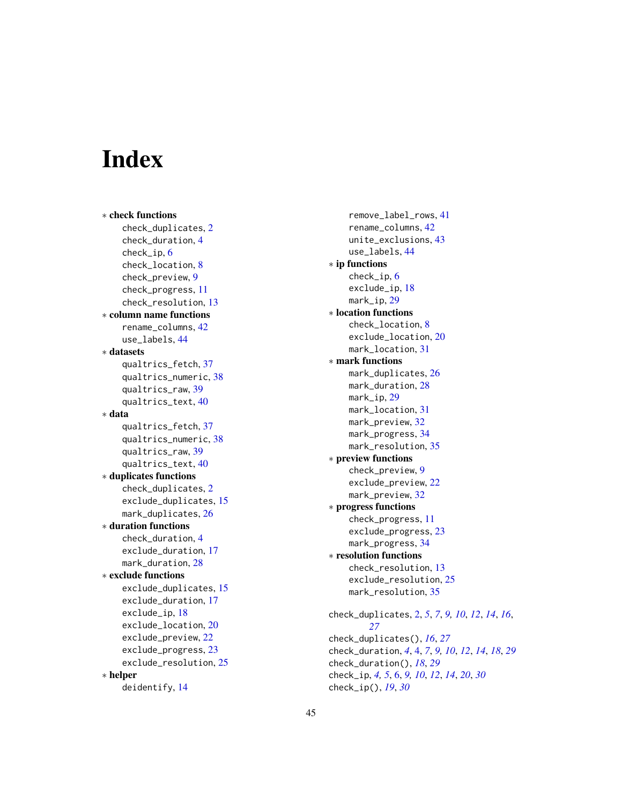# <span id="page-44-0"></span>**Index**

∗ check functions check\_duplicates , [2](#page-1-0) check\_duration , [4](#page-3-0) check\_ip , [6](#page-5-0) check\_location , [8](#page-7-0) check\_preview , [9](#page-8-0) check\_progress , [11](#page-10-0) check\_resolution , [13](#page-12-0) ∗ column name functions rename\_columns , [42](#page-41-0) use\_labels , [44](#page-43-0) ∗ datasets qualtrics\_fetch , [37](#page-36-0) qualtrics\_numeric , [38](#page-37-0) qualtrics\_raw , [39](#page-38-0) qualtrics\_text , [40](#page-39-0) ∗ data qualtrics\_fetch , [37](#page-36-0) qualtrics\_numeric , [38](#page-37-0) qualtrics\_raw , [39](#page-38-0) qualtrics\_text , [40](#page-39-0) ∗ duplicates functions check\_duplicates , [2](#page-1-0) exclude\_duplicates , [15](#page-14-0) mark\_duplicates , [26](#page-25-0) ∗ duration functions check\_duration , [4](#page-3-0) exclude\_duration , [17](#page-16-0) mark\_duration, [28](#page-27-0) ∗ exclude functions exclude\_duplicates , [15](#page-14-0) exclude\_duration , [17](#page-16-0) exclude\_ip , [18](#page-17-0) exclude\_location , [20](#page-19-0) exclude\_preview , [22](#page-21-0) exclude\_progress , [23](#page-22-0) exclude\_resolution, [25](#page-24-0) ∗ helper deidentify , [14](#page-13-0)

remove\_label\_rows , [41](#page-40-0) rename\_columns , [42](#page-41-0) unite\_exclusions , [43](#page-42-0) use\_labels , [44](#page-43-0) ∗ ip functions check\_ip , [6](#page-5-0) exclude\_ip , [18](#page-17-0) mark\_ip, [29](#page-28-0) ∗ location functions check\_location , [8](#page-7-0) exclude\_location , [20](#page-19-0) mark\_location , [31](#page-30-0) ∗ mark functions mark\_duplicates , [26](#page-25-0) mark\_duration , [28](#page-27-0) mark\_ip,[29](#page-28-0) mark\_location , [31](#page-30-0) mark\_preview, [32](#page-31-0) mark\_progress, [34](#page-33-0) mark\_resolution , [35](#page-34-0) ∗ preview functions check\_preview , [9](#page-8-0) exclude\_preview , [22](#page-21-0) mark\_preview, [32](#page-31-0) ∗ progress functions check\_progress , [11](#page-10-0) exclude\_progress , [23](#page-22-0) mark\_progress , [34](#page-33-0) ∗ resolution functions check\_resolution , [13](#page-12-0) exclude\_resolution, [25](#page-24-0) mark\_resolution , [35](#page-34-0) check\_duplicates , [2](#page-1-0) , *[5](#page-4-0)* , *[7](#page-6-0)* , *[9](#page-8-0) , [10](#page-9-0)* , *[12](#page-11-0)* , *[14](#page-13-0)* , *[16](#page-15-0)* , *[27](#page-26-0)* check\_duplicates() , *[16](#page-15-0)* , *[27](#page-26-0)* check\_duration , *[4](#page-3-0)* , [4](#page-3-0) , *[7](#page-6-0)* , *[9](#page-8-0) , [10](#page-9-0)* , *[12](#page-11-0)* , *[14](#page-13-0)* , *[18](#page-17-0)* , *[29](#page-28-0)*

check\_duration() , *[18](#page-17-0)* , *[29](#page-28-0)* check\_ip , *[4](#page-3-0) , [5](#page-4-0)* , [6](#page-5-0) , *[9](#page-8-0) , [10](#page-9-0)* , *[12](#page-11-0)* , *[14](#page-13-0)* , *[20](#page-19-0)* , *[30](#page-29-0)* check\_ip() , *[19](#page-18-0)* , *[30](#page-29-0)*